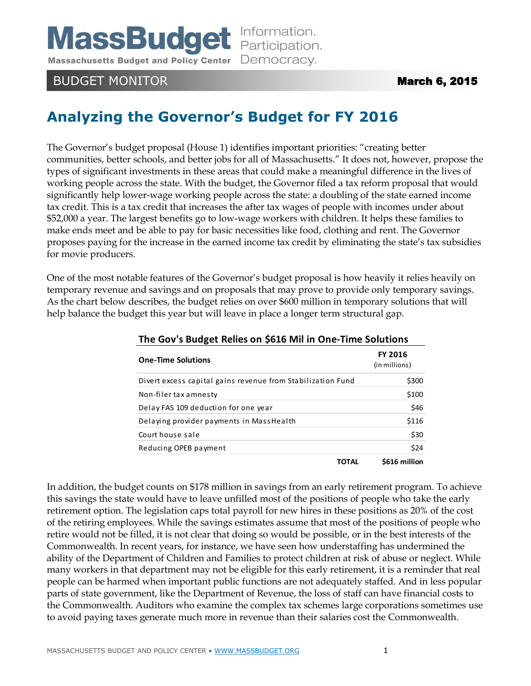**MassBudget** Information. Massachusetts Budget and Policy Center Democracy.

BUDGET MONITOR **March 6, 2015** 

# **Analyzing the Governor's Budget for FY 2016**

The Governor's budget proposal (House 1) identifies important priorities: "creating better communities, better schools, and better jobs for all of Massachusetts." It does not, however, propose the types of significant investments in these areas that could make a meaningful difference in the lives of working people across the state. With the budget, the Governor filed a tax reform proposal that would significantly help lower-wage working people across the state: a doubling of the state earned income tax credit. This is a tax credit that increases the after tax wages of people with incomes under about \$52,000 a year. The largest benefits go to low-wage workers with children. It helps these families to make ends meet and be able to pay for basic necessities like food, clothing and rent. The Governor proposes paying for the increase in the earned income tax credit by eliminating the state's tax subsidies for movie producers.

One of the most notable features of the Governor's budget proposal is how heavily it relies heavily on temporary revenue and savings and on proposals that may prove to provide only temporary savings. As the chart below describes, the budget relies on over \$600 million in temporary solutions that will help balance the budget this year but will leave in place a longer term structural gap.

| <b>One-Time Solutions</b>                                   | <b>FY 2016</b><br>(in millions) |  |
|-------------------------------------------------------------|---------------------------------|--|
| Divert excess capital gains revenue from Stabilization Fund | \$300                           |  |
| Non-filer tax amnesty                                       | \$100                           |  |
| Delay FAS 109 deduction for one year                        | \$46                            |  |
| Delaying provider payments in MassHealth                    | \$116                           |  |
| Court house sale                                            | \$30                            |  |
| Reducing OPEB payment                                       | \$24                            |  |
| TOTAL                                                       | \$616 million                   |  |

### **The Gov's Budget Relies on \$616 Mil in One-Time Solutions**

In addition, the budget counts on \$178 million in savings from an early retirement program. To achieve this savings the state would have to leave unfilled most of the positions of people who take the early retirement option. The legislation caps total payroll for new hires in these positions as 20% of the cost of the retiring employees. While the savings estimates assume that most of the positions of people who retire would not be filled, it is not clear that doing so would be possible, or in the best interests of the Commonwealth. In recent years, for instance, we have seen how understaffing has undermined the ability of the Department of Children and Families to protect children at risk of abuse or neglect. While many workers in that department may not be eligible for this early retirement, it is a reminder that real people can be harmed when important public functions are not adequately staffed. And in less popular parts of state government, like the Department of Revenue, the loss of staff can have financial costs to the Commonwealth. Auditors who examine the complex tax schemes large corporations sometimes use to avoid paying taxes generate much more in revenue than their salaries cost the Commonwealth.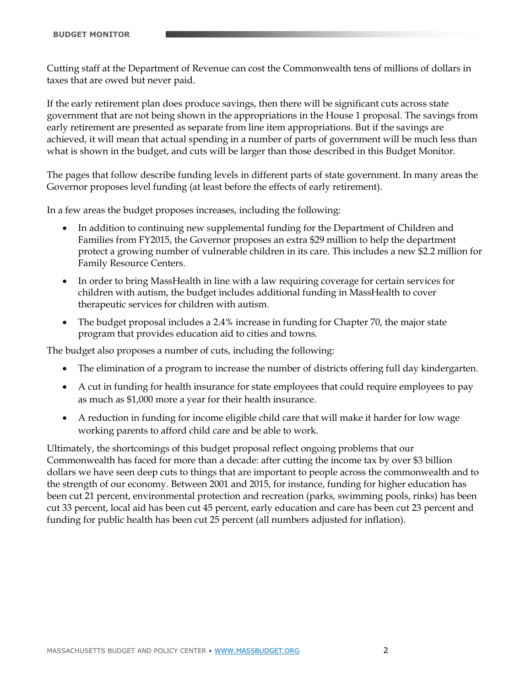Cutting staff at the Department of Revenue can cost the Commonwealth tens of millions of dollars in taxes that are owed but never paid.

If the early retirement plan does produce savings, then there will be significant cuts across state government that are not being shown in the appropriations in the House 1 proposal. The savings from early retirement are presented as separate from line item appropriations. But if the savings are achieved, it will mean that actual spending in a number of parts of government will be much less than what is shown in the budget, and cuts will be larger than those described in this Budget Monitor.

The pages that follow describe funding levels in different parts of state government. In many areas the Governor proposes level funding (at least before the effects of early retirement).

In a few areas the budget proposes increases, including the following:

- In addition to continuing new supplemental funding for the Department of Children and Families from FY2015, the Governor proposes an extra \$29 million to help the department protect a growing number of vulnerable children in its care. This includes a new \$2.2 million for Family Resource Centers.
- In order to bring MassHealth in line with a law requiring coverage for certain services for children with autism, the budget includes additional funding in MassHealth to cover therapeutic services for children with autism.
- The budget proposal includes a 2.4% increase in funding for Chapter 70, the major state program that provides education aid to cities and towns.

The budget also proposes a number of cuts, including the following:

- The elimination of a program to increase the number of districts offering full day kindergarten.
- A cut in funding for health insurance for state employees that could require employees to pay as much as \$1,000 more a year for their health insurance.
- A reduction in funding for income eligible child care that will make it harder for low wage working parents to afford child care and be able to work.

Ultimately, the shortcomings of this budget proposal reflect ongoing problems that our Commonwealth has faced for more than a decade: after cutting the income tax by over \$3 billion dollars we have seen deep cuts to things that are important to people across the commonwealth and to the strength of our economy. Between 2001 and 2015, for instance, funding for higher education has been cut 21 percent, environmental protection and recreation (parks, swimming pools, rinks) has been cut 33 percent, local aid has been cut 45 percent, early education and care has been cut 23 percent and funding for public health has been cut 25 percent (all numbers adjusted for inflation).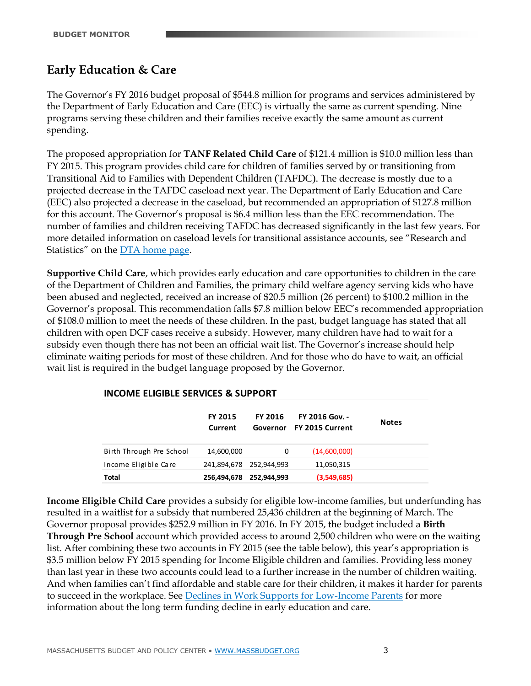# **Early Education & Care**

The Governor's FY 2016 budget proposal of \$544.8 million for programs and services administered by the Department of Early Education and Care (EEC) is virtually the same as current spending. Nine programs serving these children and their families receive exactly the same amount as current spending.

The proposed appropriation for **TANF Related Child Care** of \$121.4 million is \$10.0 million less than FY 2015. This program provides child care for children of families served by or transitioning from Transitional Aid to Families with Dependent Children (TAFDC). The decrease is mostly due to a projected decrease in the TAFDC caseload next year. The Department of Early Education and Care (EEC) also projected a decrease in the caseload, but recommended an appropriation of \$127.8 million for this account. The Governor's proposal is \$6.4 million less than the EEC recommendation. The number of families and children receiving TAFDC has decreased significantly in the last few years. For more detailed information on caseload levels for transitional assistance accounts, see "Research and Statistics" on the [DTA home page.](http://www.mass.gov/eohhs/gov/departments/dta/)

**Supportive Child Care**, which provides early education and care opportunities to children in the care of the Department of Children and Families, the primary child welfare agency serving kids who have been abused and neglected, received an increase of \$20.5 million (26 percent) to \$100.2 million in the Governor's proposal. This recommendation falls \$7.8 million below EEC's recommended appropriation of \$108.0 million to meet the needs of these children. In the past, budget language has stated that all children with open DCF cases receive a subsidy. However, many children have had to wait for a subsidy even though there has not been an official wait list. The Governor's increase should help eliminate waiting periods for most of these children. And for those who do have to wait, an official wait list is required in the budget language proposed by the Governor.

|                          | <b>FY 2015</b><br>Current | <b>FY 2016</b><br>Governor | <b>FY 2016 Gov. -</b><br>FY 2015 Current | <b>Notes</b> |
|--------------------------|---------------------------|----------------------------|------------------------------------------|--------------|
| Birth Through Pre School | 14,600,000                | 0                          | (14,600,000)                             |              |
| Income Eligible Care     | 241,894,678 252,944,993   |                            | 11,050,315                               |              |
| Total                    | 256,494,678               | 252.944.993                | (3,549,685)                              |              |

**INCOME ELIGIBLE SERVICES & SUPPORT**

**Income Eligible Child Care** provides a subsidy for eligible low-income families, but underfunding has resulted in a waitlist for a subsidy that numbered 25,436 children at the beginning of March. The Governor proposal provides \$252.9 million in FY 2016. In FY 2015, the budget included a **Birth Through Pre School** account which provided access to around 2,500 children who were on the waiting list. After combining these two accounts in FY 2015 (see the table below), this year's appropriation is \$3.5 million below FY 2015 spending for Income Eligible children and families. Providing less money than last year in these two accounts could lead to a further increase in the number of children waiting. And when families can't find affordable and stable care for their children, it makes it harder for parents to succeed in the workplace. See [Declines in Work Supports for Low-Income Parents](http://www.massbudget.org/report_window.php?loc=Declines_Work_Supports_Low-Income_Parents.html) for more information about the long term funding decline in early education and care.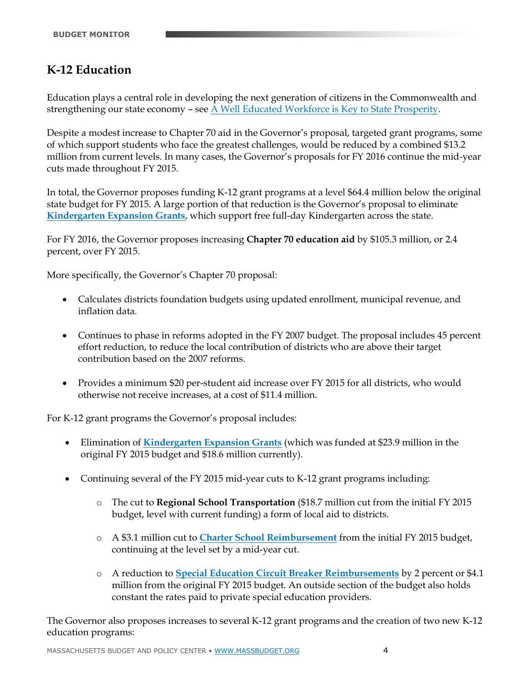# **K-12 Education**

Education plays a central role in developing the next generation of citizens in the Commonwealth and strengthening our state economy - see [A Well Educated Workforce is Key to State Prosperity.](http://www.massbudget.org/report_window.php?loc=education_wages_epi.html)

Despite a modest increase to Chapter 70 aid in the Governor's proposal, targeted grant programs, some of which support students who face the greatest challenges, would be reduced by a combined \$13.2 million from current levels. In many cases, the Governor's proposals for FY 2016 continue the mid-year cuts made throughout FY 2015.

In total, the Governor proposes funding K-12 grant programs at a level \$64.4 million below the original state budget for FY 2015. A large portion of that reduction is the Governor's proposal to eliminate **[Kindergarten Expansion Grants](http://children.massbudget.org/kindergarten-development-grants)**, which support free full-day Kindergarten across the state.

For FY 2016, the Governor proposes increasing **Chapter 70 education aid** by \$105.3 million, or 2.4 percent, over FY 2015.

More specifically, the Governor's Chapter 70 proposal:

- Calculates districts foundation budgets using updated enrollment, municipal revenue, and inflation data.
- Continues to phase in reforms adopted in the FY 2007 budget. The proposal includes 45 percent effort reduction, to reduce the local contribution of districts who are above their target contribution based on the 2007 reforms.
- Provides a minimum \$20 per-student aid increase over FY 2015 for all districts, who would otherwise not receive increases, at a cost of \$11.4 million.

For K-12 grant programs the Governor's proposal includes:

- Elimination of **[Kindergarten Expansion Grants](http://children.massbudget.org/kindergarten-development-grants)** (which was funded at \$23.9 million in the original FY 2015 budget and \$18.6 million currently).
- Continuing several of the FY 2015 mid-year cuts to K-12 grant programs including:
	- o The cut to **Regional School Transportation** (\$18.7 million cut from the initial FY 2015 budget, level with current funding) a form of local aid to districts.
	- o A \$3.1 million cut to **[Charter School Reimbursement](http://children.massbudget.org/charter-school-reimbursement)** from the initial FY 2015 budget, continuing at the level set by a mid-year cut.
	- o A reduction to **Special Education [Circuit Breaker Reimbursements](http://children.massbudget.org/special-education-circuit-breaker)** by 2 percent or \$4.1 million from the original FY 2015 budget. An outside section of the budget also holds constant the rates paid to private special education providers.

The Governor also proposes increases to several K-12 grant programs and the creation of two new K-12 education programs: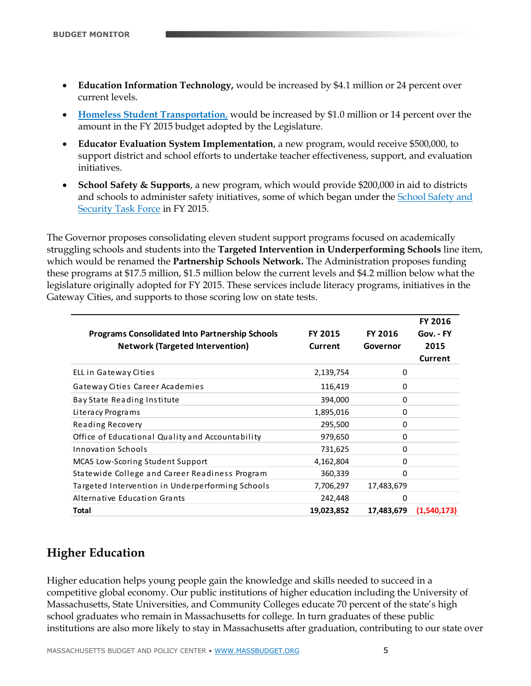- **Education Information Technology,** would be increased by \$4.1 million or 24 percent over current levels.
- **[Homeless Student Transportation](http://children.massbudget.org/homeless-student-transportation-0)**, would be increased by \$1.0 million or 14 percent over the amount in the FY 2015 budget adopted by the Legislature.
- **Educator Evaluation System Implementation**, a new program, would receive \$500,000, to support district and school efforts to undertake teacher effectiveness, support, and evaluation initiatives.
- **School Safety & Supports**, a new program, which would provide \$200,000 in aid to districts and schools to administer safety initiatives, some of which began under the [School Safety and](http://children.massbudget.org/school-safety-and-security-task-force-0)  [Security Task Force](http://children.massbudget.org/school-safety-and-security-task-force-0) in FY 2015.

The Governor proposes consolidating eleven student support programs focused on academically struggling schools and students into the **Targeted Intervention in Underperforming Schools** line item, which would be renamed the **Partnership Schools Network.** The Administration proposes funding these programs at \$17.5 million, \$1.5 million below the current levels and \$4.2 million below what the legislature originally adopted for FY 2015. These services include literacy programs, initiatives in the Gateway Cities, and supports to those scoring low on state tests.

| <b>Programs Consolidated Into Partnership Schools</b><br><b>Network (Targeted Intervention)</b>                                                                                                                                                                                                     | <b>FY 2015</b><br><b>Current</b> | FY 2016<br>Governor | FY 2016<br>Gov. - FY<br>2015 |
|-----------------------------------------------------------------------------------------------------------------------------------------------------------------------------------------------------------------------------------------------------------------------------------------------------|----------------------------------|---------------------|------------------------------|
|                                                                                                                                                                                                                                                                                                     |                                  |                     | <b>Current</b>               |
| ELL in Gateway Cities                                                                                                                                                                                                                                                                               | 2,139,754                        | $\pmb{0}$           |                              |
| Gateway Cities Career Academies                                                                                                                                                                                                                                                                     | 116,419                          | 0                   |                              |
| Bay State Reading Institute                                                                                                                                                                                                                                                                         | 394,000                          | 0                   |                              |
| Literacy Programs                                                                                                                                                                                                                                                                                   | 1,895,016                        | 0                   |                              |
| Reading Recovery                                                                                                                                                                                                                                                                                    | 295,500                          | 0                   |                              |
| Office of Educational Quality and Accountability                                                                                                                                                                                                                                                    | 979,650                          | 0                   |                              |
| Innovation Schools                                                                                                                                                                                                                                                                                  | 731,625                          | 0                   |                              |
| MCAS Low-Scoring Student Support                                                                                                                                                                                                                                                                    | 4,162,804                        | 0                   |                              |
| Statewide College and Career Readiness Program                                                                                                                                                                                                                                                      | 360,339                          | $\Omega$            |                              |
| Targeted Intervention in Underperforming Schools                                                                                                                                                                                                                                                    | 7,706,297                        | 17,483,679          |                              |
| Alternative Education Grants                                                                                                                                                                                                                                                                        | 242,448                          | 0                   |                              |
| <b>Total</b>                                                                                                                                                                                                                                                                                        | 19,023,852                       | 17,483,679          | (1,540,173)                  |
| <b>Higher Education</b>                                                                                                                                                                                                                                                                             |                                  |                     |                              |
| Higher education helps young people gain the knowledge and skills needed to succeed in a<br>competitive global economy. Our public institutions of higher education including the University of<br>Massachusetts, State Universities, and Community Colleges educate 70 percent of the state's high |                                  |                     |                              |
| school graduates who remain in Massachusetts for college. In turn graduates of these public                                                                                                                                                                                                         |                                  |                     |                              |

# **Higher Education**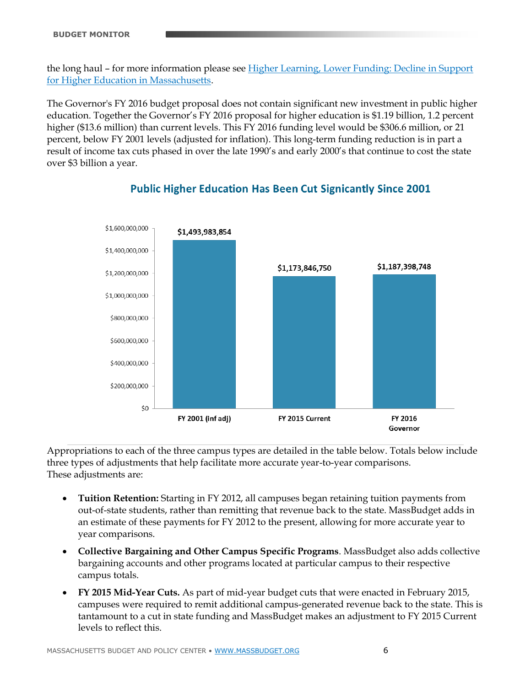the long haul – for more information please see [Higher Learning, Lower Funding: Decline in Support](http://www.massbudget.org/report_window.php?loc=higher_ed.html)  [for Higher Education in Massachusetts.](http://www.massbudget.org/report_window.php?loc=higher_ed.html)

The Governor's FY 2016 budget proposal does not contain significant new investment in public higher education. Together the Governor's FY 2016 proposal for higher education is \$1.19 billion, 1.2 percent higher (\$13.6 million) than current levels. This FY 2016 funding level would be \$306.6 million, or 21 percent, below FY 2001 levels (adjusted for inflation). This long-term funding reduction is in part a result of income tax cuts phased in over the late 1990's and early 2000's that continue to cost the state over \$3 billion a year.



## **Public Higher Education Has Been Cut Signicantly Since 2001**

Appropriations to each of the three campus types are detailed in the table below. Totals below include three types of adjustments that help facilitate more accurate year-to-year comparisons. These adjustments are:

- **Tuition Retention:** Starting in FY 2012, all campuses began retaining tuition payments from out-of-state students, rather than remitting that revenue back to the state. MassBudget adds in an estimate of these payments for FY 2012 to the present, allowing for more accurate year to year comparisons.
- **Collective Bargaining and Other Campus Specific Programs**. MassBudget also adds collective bargaining accounts and other programs located at particular campus to their respective campus totals.
- **FY 2015 Mid-Year Cuts.** As part of mid-year budget cuts that were enacted in February 2015, campuses were required to remit additional campus-generated revenue back to the state. This is tantamount to a cut in state funding and MassBudget makes an adjustment to FY 2015 Current levels to reflect this.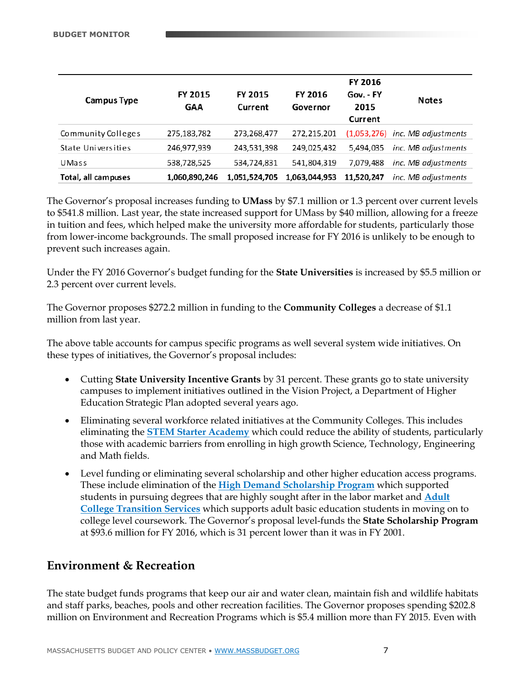| <b>Campus Type</b>  | <b>FY 2015</b><br><b>GAA</b> | <b>FY 2015</b><br>Current | <b>FY 2016</b><br>Governor | FY 2016<br>Gov. - FY<br>2015<br>Current | <b>Notes</b>                      |
|---------------------|------------------------------|---------------------------|----------------------------|-----------------------------------------|-----------------------------------|
| Community Colleges  | 275,183,782                  | 273,268,477               | 272.215.201                |                                         | $(1,053,276)$ inc. MB adjustments |
| State Universities  | 246,977,939                  | 243,531,398               | 249,025,432                | 5,494,035                               | inc. MB adjustments               |
| UMass               | 538,728,525                  | 534,724,831               | 541,804,319                | 7,079,488                               | inc. MB adjustments               |
| Total, all campuses | 1,060,890,246                | 1,051,524,705             | 1,063,044,953              | 11,520,247                              | inc. MB adjustments               |

The Governor's proposal increases funding to **UMass** by \$7.1 million or 1.3 percent over current levels to \$541.8 million. Last year, the state increased support for UMass by \$40 million, allowing for a freeze in tuition and fees, which helped make the university more affordable for students, particularly those from lower-income backgrounds. The small proposed increase for FY 2016 is unlikely to be enough to prevent such increases again.

Under the FY 2016 Governor's budget funding for the **State Universities** is increased by \$5.5 million or 2.3 percent over current levels.

The Governor proposes \$272.2 million in funding to the **Community Colleges** a decrease of \$1.1 million from last year.

The above table accounts for campus specific programs as well several system wide initiatives. On these types of initiatives, the Governor's proposal includes:

- Cutting **State University Incentive Grants** by 31 percent. These grants go to state university campuses to implement initiatives outlined in the Vision Project, a Department of Higher Education Strategic Plan adopted several years ago.
- Eliminating several workforce related initiatives at the Community Colleges. This includes eliminating the **[STEM Starter Academy](http://workforce.massbudget.org/stem-starter-academies)** which could reduce the ability of students, particularly those with academic barriers from enrolling in high growth Science, Technology, Engineering and Math fields.
- Level funding or eliminating several scholarship and other higher education access programs. These include elimination of the **[High Demand Scholarship Program](http://workforce.massbudget.org/high-demand-scholarships)** which supported students in pursuing degrees that are highly sought after in the labor market and **[Adult](http://workforce.massbudget.org/bridges-college-adult-college-transition-services)  [College Transition Services](http://workforce.massbudget.org/bridges-college-adult-college-transition-services)** which supports adult basic education students in moving on to college level coursework. The Governor's proposal level-funds the **State Scholarship Program**  at \$93.6 million for FY 2016, which is 31 percent lower than it was in FY 2001.

# **Environment & Recreation**

The state budget funds programs that keep our air and water clean, maintain fish and wildlife habitats and staff parks, beaches, pools and other recreation facilities. The Governor proposes spending \$202.8 million on Environment and Recreation Programs which is \$5.4 million more than FY 2015. Even with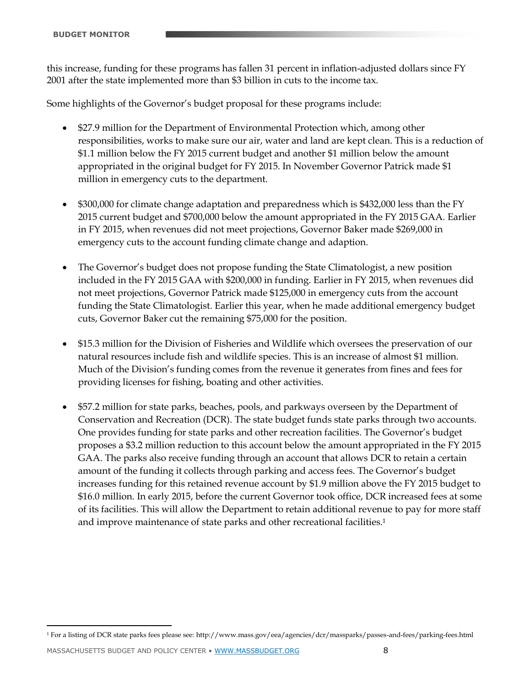this increase, funding for these programs has fallen 31 percent in inflation-adjusted dollars since FY 2001 after the state implemented more than \$3 billion in cuts to the income tax.

Some highlights of the Governor's budget proposal for these programs include:

- \$27.9 million for the Department of Environmental Protection which, among other responsibilities, works to make sure our air, water and land are kept clean. This is a reduction of \$1.1 million below the FY 2015 current budget and another \$1 million below the amount appropriated in the original budget for FY 2015. In November Governor Patrick made \$1 million in emergency cuts to the department.
- \$300,000 for climate change adaptation and preparedness which is \$432,000 less than the FY 2015 current budget and \$700,000 below the amount appropriated in the FY 2015 GAA. Earlier in FY 2015, when revenues did not meet projections, Governor Baker made \$269,000 in emergency cuts to the account funding climate change and adaption.
- The Governor's budget does not propose funding the State Climatologist, a new position included in the FY 2015 GAA with \$200,000 in funding. Earlier in FY 2015, when revenues did not meet projections, Governor Patrick made \$125,000 in emergency cuts from the account funding the State Climatologist. Earlier this year, when he made additional emergency budget cuts, Governor Baker cut the remaining \$75,000 for the position.
- \$15.3 million for the Division of Fisheries and Wildlife which oversees the preservation of our natural resources include fish and wildlife species. This is an increase of almost \$1 million. Much of the Division's funding comes from the revenue it generates from fines and fees for providing licenses for fishing, boating and other activities.
- \$57.2 million for state parks, beaches, pools, and parkways overseen by the Department of Conservation and Recreation (DCR). The state budget funds state parks through two accounts. One provides funding for state parks and other recreation facilities. The Governor's budget proposes a \$3.2 million reduction to this account below the amount appropriated in the FY 2015 GAA. The parks also receive funding through an account that allows DCR to retain a certain amount of the funding it collects through parking and access fees. The Governor's budget increases funding for this retained revenue account by \$1.9 million above the FY 2015 budget to \$16.0 million. In early 2015, before the current Governor took office, DCR increased fees at some of its facilities. This will allow the Department to retain additional revenue to pay for more staff and improve maintenance of state parks and other recreational facilities.<sup>1</sup>

 $\overline{a}$ 

<sup>1</sup> For a listing of DCR state parks fees please see: http://www.mass.gov/eea/agencies/dcr/massparks/passes-and-fees/parking-fees.html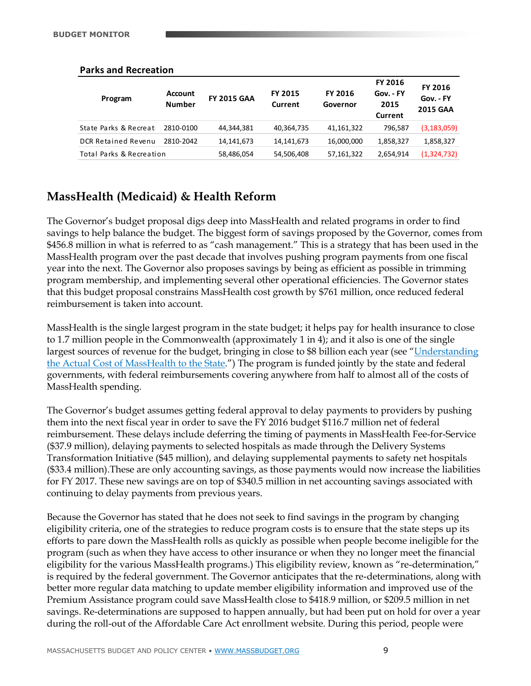| Program                  | <b>Account</b><br><b>Number</b> | <b>FY 2015 GAA</b> | <b>FY 2015</b><br>Current | <b>FY 2016</b><br>Governor | <b>FY 2016</b><br>Gov. - FY<br>2015<br>Current | <b>FY 2016</b><br>Gov. - FY<br><b>2015 GAA</b> |
|--------------------------|---------------------------------|--------------------|---------------------------|----------------------------|------------------------------------------------|------------------------------------------------|
| State Parks & Recreati   | 2810-0100                       | 44,344,381         | 40,364,735                | 41,161,322                 | 796.587                                        | (3, 183, 059)                                  |
| DCR Retained Revenu      | 2810-2042                       | 14,141,673         | 14,141,673                | 16,000,000                 | 1,858,327                                      | 1,858,327                                      |
| Total Parks & Recreation |                                 | 58,486,054         | 54,506,408                | 57,161,322                 | 2,654,914                                      | (1,324,732)                                    |

# **MassHealth (Medicaid) & Health Reform**

The Governor's budget proposal digs deep into MassHealth and related programs in order to find savings to help balance the budget. The biggest form of savings proposed by the Governor, comes from \$456.8 million in what is referred to as "cash management." This is a strategy that has been used in the MassHealth program over the past decade that involves pushing program payments from one fiscal year into the next. The Governor also proposes savings by being as efficient as possible in trimming program membership, and implementing several other operational efficiencies. The Governor states that this budget proposal constrains MassHealth cost growth by \$761 million, once reduced federal reimbursement is taken into account.

MassHealth is the single largest program in the state budget; it helps pay for health insurance to close to 1.7 million people in the Commonwealth (approximately 1 in 4); and it also is one of the single largest sources of revenue for the budget, bringing in close to \$8 billion each year (see "[Understanding](http://massbudget.org/reports/pdf/NetCost-MassHealth_FINAL.pdf)  [the Actual Cost of MassHealth to the State](http://massbudget.org/reports/pdf/NetCost-MassHealth_FINAL.pdf).") The program is funded jointly by the state and federal governments, with federal reimbursements covering anywhere from half to almost all of the costs of MassHealth spending.

The Governor's budget assumes getting federal approval to delay payments to providers by pushing them into the next fiscal year in order to save the FY 2016 budget \$116.7 million net of federal reimbursement. These delays include deferring the timing of payments in MassHealth Fee-for-Service (\$37.9 million), delaying payments to selected hospitals as made through the Delivery Systems Transformation Initiative (\$45 million), and delaying supplemental payments to safety net hospitals (\$33.4 million).These are only accounting savings, as those payments would now increase the liabilities for FY 2017. These new savings are on top of \$340.5 million in net accounting savings associated with continuing to delay payments from previous years.

Because the Governor has stated that he does not seek to find savings in the program by changing eligibility criteria, one of the strategies to reduce program costs is to ensure that the state steps up its efforts to pare down the MassHealth rolls as quickly as possible when people become ineligible for the program (such as when they have access to other insurance or when they no longer meet the financial eligibility for the various MassHealth programs.) This eligibility review, known as "re-determination," is required by the federal government. The Governor anticipates that the re-determinations, along with better more regular data matching to update member eligibility information and improved use of the Premium Assistance program could save MassHealth close to \$418.9 million, or \$209.5 million in net savings. Re-determinations are supposed to happen annually, but had been put on hold for over a year **Parks and Recreation**<br> **Parks and Recreation Example 197815 606. FY 2015 Care Affordable Care Affordable Care Affordable Care Affordable Care Act and SMS (2015) Care Affordable Care Act enrollment website. Parks**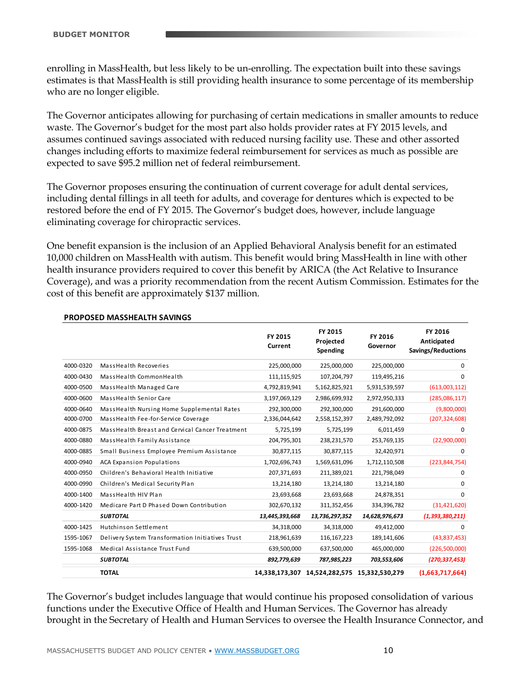enrolling in MassHealth, but less likely to be un-enrolling. The expectation built into these savings estimates is that MassHealth is still providing health insurance to some percentage of its membership who are no longer eligible.

The Governor anticipates allowing for purchasing of certain medications in smaller amounts to reduce waste. The Governor's budget for the most part also holds provider rates at FY 2015 levels, and assumes continued savings associated with reduced nursing facility use. These and other assorted changes including efforts to maximize federal reimbursement for services as much as possible are expected to save \$95.2 million net of federal reimbursement.

The Governor proposes ensuring the continuation of current coverage for adult dental services, including dental fillings in all teeth for adults, and coverage for dentures which is expected to be restored before the end of FY 2015. The Governor's budget does, however, include language eliminating coverage for chiropractic services.

One benefit expansion is the inclusion of an Applied Behavioral Analysis benefit for an estimated 10,000 children on MassHealth with autism. This benefit would bring MassHealth in line with other health insurance providers required to cover this benefit by ARICA (the Act Relative to Insurance Coverage), and was a priority recommendation from the recent Autism Commission. Estimates for the cost of this benefit are approximately \$137 million.

|           |                                                                                                                                                                                                  | FY 2015<br>Current | FY 2015<br>Projected<br>Spending             | FY 2016<br>Governor | FY 2016<br>Anticipated<br>Savings/Reductions |
|-----------|--------------------------------------------------------------------------------------------------------------------------------------------------------------------------------------------------|--------------------|----------------------------------------------|---------------------|----------------------------------------------|
| 4000-0320 | MassHealth Recoveries                                                                                                                                                                            | 225,000,000        | 225,000,000                                  | 225,000,000         | 0                                            |
| 4000-0430 | MassHealth CommonHealth                                                                                                                                                                          | 111,115,925        | 107,204,797                                  | 119,495,216         | 0                                            |
| 4000-0500 | MassHealth Managed Care                                                                                                                                                                          | 4,792,819,941      | 5,162,825,921                                | 5,931,539,597       | (613,003,112)                                |
| 4000-0600 | MassHealth Senior Care                                                                                                                                                                           | 3,197,069,129      | 2,986,699,932                                | 2,972,950,333       | (285,086,117)                                |
| 4000-0640 | MassHealth Nursing Home Supplemental Rates                                                                                                                                                       | 292,300,000        | 292,300,000                                  | 291,600,000         | (9,800,000)                                  |
| 4000-0700 | MassHealth Fee-for-Service Coverage                                                                                                                                                              | 2,336,044,642      | 2,558,152,397                                | 2,489,792,092       | (207, 324, 608)                              |
| 4000-0875 | Mass Health Breast and Cervical Cancer Treatment                                                                                                                                                 | 5,725,199          | 5,725,199                                    | 6,011,459           | 0                                            |
| 4000-0880 | MassHealth Family Assistance                                                                                                                                                                     | 204,795,301        | 238,231,570                                  | 253,769,135         | (22,900,000)                                 |
| 4000-0885 | Small Business Employee Premium Assistance                                                                                                                                                       | 30,877,115         | 30,877,115                                   | 32,420,971          | 0                                            |
| 4000-0940 | <b>ACA Expansion Populations</b>                                                                                                                                                                 | 1,702,696,743      | 1,569,631,096                                | 1,712,110,508       | (223, 844, 754)                              |
| 4000-0950 | Children's Behavioral Health Initiative                                                                                                                                                          | 207,371,693        | 211,389,021                                  | 221,798,049         | 0                                            |
| 4000-0990 | Children's Medical Security Plan                                                                                                                                                                 | 13,214,180         | 13,214,180                                   | 13,214,180          | $\Omega$                                     |
| 4000-1400 | MassHealth HIV Plan                                                                                                                                                                              | 23,693,668         | 23,693,668                                   | 24,878,351          | 0                                            |
| 4000-1420 | Medicare Part D Phased Down Contribution                                                                                                                                                         | 302,670,132        | 311,352,456                                  | 334,396,782         | (31, 421, 620)                               |
|           | <b>SUBTOTAL</b>                                                                                                                                                                                  | 13,445,393,668     | 13,736,297,352                               | 14,628,976,673      | (1,393,380,211)                              |
| 4000-1425 | Hutchinson Settlement                                                                                                                                                                            | 34,318,000         | 34,318,000                                   | 49,412,000          | 0                                            |
| 1595-1067 | Delivery System Transformation Initiatives Trust                                                                                                                                                 | 218,961,639        | 116, 167, 223                                | 189,141,606         | (43,837,453)                                 |
| 1595-1068 | Medical Assistance Trust Fund                                                                                                                                                                    | 639,500,000        | 637,500,000                                  | 465,000,000         | (226,500,000)                                |
|           | <b>SUBTOTAL</b>                                                                                                                                                                                  | 892,779,639        | 787,985,223                                  | 703,553,606         | (270, 337, 453)                              |
|           | <b>TOTAL</b>                                                                                                                                                                                     |                    | 14,338,173,307 14,524,282,575 15,332,530,279 |                     | (1,663,717,664)                              |
|           | The Governor's budget includes language that would continue his proposed consolidation of various<br>functions under the Executive Office of Health and Human Services. The Governor has already |                    |                                              |                     |                                              |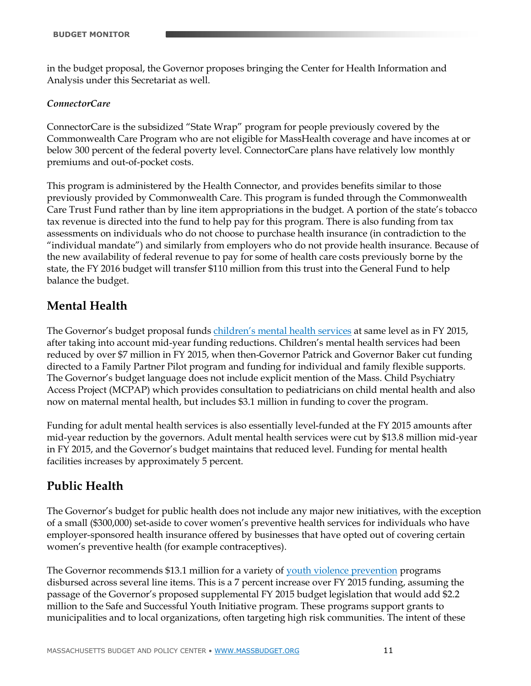in the budget proposal, the Governor proposes bringing the Center for Health Information and Analysis under this Secretariat as well.

### *ConnectorCare*

ConnectorCare is the subsidized "State Wrap" program for people previously covered by the Commonwealth Care Program who are not eligible for MassHealth coverage and have incomes at or below 300 percent of the federal poverty level. ConnectorCare plans have relatively low monthly premiums and out-of-pocket costs.

This program is administered by the Health Connector, and provides benefits similar to those previously provided by Commonwealth Care. This program is funded through the Commonwealth Care Trust Fund rather than by line item appropriations in the budget. A portion of the state's tobacco tax revenue is directed into the fund to help pay for this program. There is also funding from tax assessments on individuals who do not choose to purchase health insurance (in contradiction to the "individual mandate") and similarly from employers who do not provide health insurance. Because of the new availability of federal revenue to pay for some of health care costs previously borne by the state, the FY 2016 budget will transfer \$110 million from this trust into the General Fund to help balance the budget.

## **Mental Health**

The Governor's budget proposal funds [children's mental health services](http://children.massbudget.org/child-and-adolescent-mental-health-services) at same level as in FY 2015, after taking into account mid-year funding reductions. Children's mental health services had been reduced by over \$7 million in FY 2015, when then-Governor Patrick and Governor Baker cut funding directed to a Family Partner Pilot program and funding for individual and family flexible supports. The Governor's budget language does not include explicit mention of the Mass. Child Psychiatry Access Project (MCPAP) which provides consultation to pediatricians on child mental health and also now on maternal mental health, but includes \$3.1 million in funding to cover the program.

Funding for adult mental health services is also essentially level-funded at the FY 2015 amounts after mid-year reduction by the governors. Adult mental health services were cut by \$13.8 million mid-year in FY 2015, and the Governor's budget maintains that reduced level. Funding for mental health facilities increases by approximately 5 percent.

# **Public Health**

The Governor's budget for public health does not include any major new initiatives, with the exception of a small (\$300,000) set-aside to cover women's preventive health services for individuals who have employer-sponsored health insurance offered by businesses that have opted out of covering certain women's preventive health (for example contraceptives).

The Governor recommends \$13.1 million for a variety of [youth violence prevention](http://children.massbudget.org/safe-and-successful-youth-initiative?source=commonthread) programs disbursed across several line items. This is a 7 percent increase over FY 2015 funding, assuming the passage of the Governor's proposed supplemental FY 2015 budget legislation that would add \$2.2 million to the Safe and Successful Youth Initiative program. These programs support grants to municipalities and to local organizations, often targeting high risk communities. The intent of these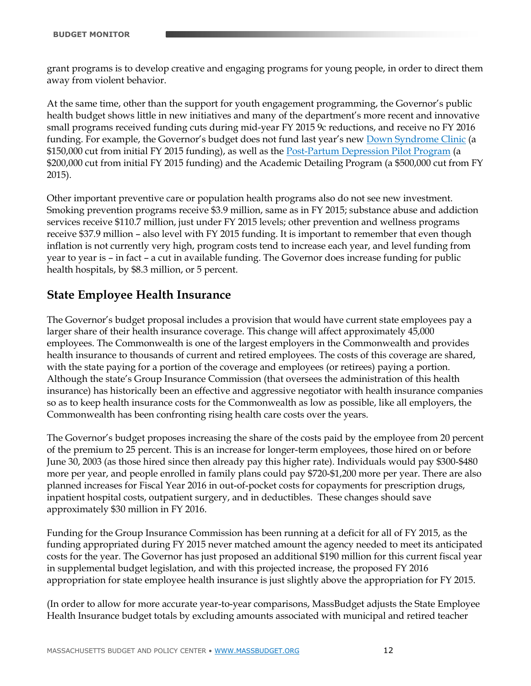grant programs is to develop creative and engaging programs for young people, in order to direct them away from violent behavior.

At the same time, other than the support for youth engagement programming, the Governor's public health budget shows little in new initiatives and many of the department's more recent and innovative small programs received funding cuts during mid-year FY 2015 9c reductions, and receive no FY 2016 funding. For example, the Governor's budget does not fund last year's new [Down Syndrome Clinic](http://children.massbudget.org/down-syndrome-clinic) (a \$150,000 cut from initial FY 2015 funding), as well as the [Post-Partum Depression Pilot Program](http://children.massbudget.org/postpartum-depression-pilot-program) (a \$200,000 cut from initial FY 2015 funding) and the Academic Detailing Program (a \$500,000 cut from FY 2015).

Other important preventive care or population health programs also do not see new investment. Smoking prevention programs receive \$3.9 million, same as in FY 2015; substance abuse and addiction services receive \$110.7 million, just under FY 2015 levels; other prevention and wellness programs receive \$37.9 million – also level with FY 2015 funding. It is important to remember that even though inflation is not currently very high, program costs tend to increase each year, and level funding from year to year is – in fact – a cut in available funding. The Governor does increase funding for public health hospitals, by \$8.3 million, or 5 percent.

# **State Employee Health Insurance**

The Governor's budget proposal includes a provision that would have current state employees pay a larger share of their health insurance coverage. This change will affect approximately 45,000 employees. The Commonwealth is one of the largest employers in the Commonwealth and provides health insurance to thousands of current and retired employees. The costs of this coverage are shared, with the state paying for a portion of the coverage and employees (or retirees) paying a portion. Although the state's Group Insurance Commission (that oversees the administration of this health insurance) has historically been an effective and aggressive negotiator with health insurance companies so as to keep health insurance costs for the Commonwealth as low as possible, like all employers, the Commonwealth has been confronting rising health care costs over the years.

The Governor's budget proposes increasing the share of the costs paid by the employee from 20 percent of the premium to 25 percent. This is an increase for longer-term employees, those hired on or before June 30, 2003 (as those hired since then already pay this higher rate). Individuals would pay \$300-\$480 more per year, and people enrolled in family plans could pay \$720-\$1,200 more per year. There are also planned increases for Fiscal Year 2016 in out-of-pocket costs for copayments for prescription drugs, inpatient hospital costs, outpatient surgery, and in deductibles. These changes should save approximately \$30 million in FY 2016.

Funding for the Group Insurance Commission has been running at a deficit for all of FY 2015, as the funding appropriated during FY 2015 never matched amount the agency needed to meet its anticipated costs for the year. The Governor has just proposed an additional \$190 million for this current fiscal year in supplemental budget legislation, and with this projected increase, the proposed FY 2016 appropriation for state employee health insurance is just slightly above the appropriation for FY 2015.

(In order to allow for more accurate year-to-year comparisons, MassBudget adjusts the State Employee Health Insurance budget totals by excluding amounts associated with municipal and retired teacher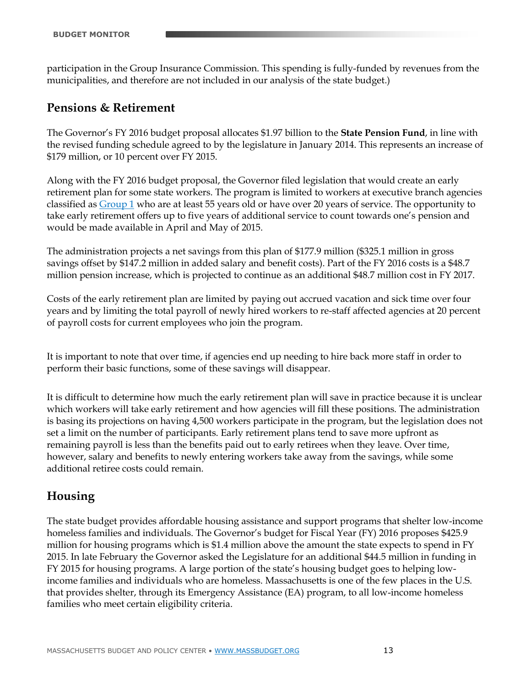participation in the Group Insurance Commission. This spending is fully-funded by revenues from the municipalities, and therefore are not included in our analysis of the state budget.)

## **Pensions & Retirement**

The Governor's FY 2016 budget proposal allocates \$1.97 billion to the **State Pension Fund**, in line with the revised funding schedule agreed to by the legislature in January 2014. This represents an increase of \$179 million, or 10 percent over FY 2015.

Along with the FY 2016 budget proposal, the Governor filed legislation that would create an early retirement plan for some state workers. The program is limited to workers at executive branch agencies classified as [Group 1](http://www.mass.gov/perac/guide/mainguide10.htm) who are at least 55 years old or have over 20 years of service. The opportunity to take early retirement offers up to five years of additional service to count towards one's pension and would be made available in April and May of 2015.

The administration projects a net savings from this plan of \$177.9 million (\$325.1 million in gross savings offset by \$147.2 million in added salary and benefit costs). Part of the FY 2016 costs is a \$48.7 million pension increase, which is projected to continue as an additional \$48.7 million cost in FY 2017.

Costs of the early retirement plan are limited by paying out accrued vacation and sick time over four years and by limiting the total payroll of newly hired workers to re-staff affected agencies at 20 percent of payroll costs for current employees who join the program.

It is important to note that over time, if agencies end up needing to hire back more staff in order to perform their basic functions, some of these savings will disappear.

It is difficult to determine how much the early retirement plan will save in practice because it is unclear which workers will take early retirement and how agencies will fill these positions. The administration is basing its projections on having 4,500 workers participate in the program, but the legislation does not set a limit on the number of participants. Early retirement plans tend to save more upfront as remaining payroll is less than the benefits paid out to early retirees when they leave. Over time, however, salary and benefits to newly entering workers take away from the savings, while some additional retiree costs could remain.

# **Housing**

The state budget provides affordable housing assistance and support programs that shelter low-income homeless families and individuals. The Governor's budget for Fiscal Year (FY) 2016 proposes \$425.9 million for housing programs which is \$1.4 million above the amount the state expects to spend in FY 2015. In late February the Governor asked the Legislature for an additional \$44.5 million in funding in FY 2015 for housing programs. A large portion of the state's housing budget goes to helping lowincome families and individuals who are homeless. Massachusetts is one of the few places in the U.S. that provides shelter, through its Emergency Assistance (EA) program, to all low-income homeless families who meet certain eligibility criteria.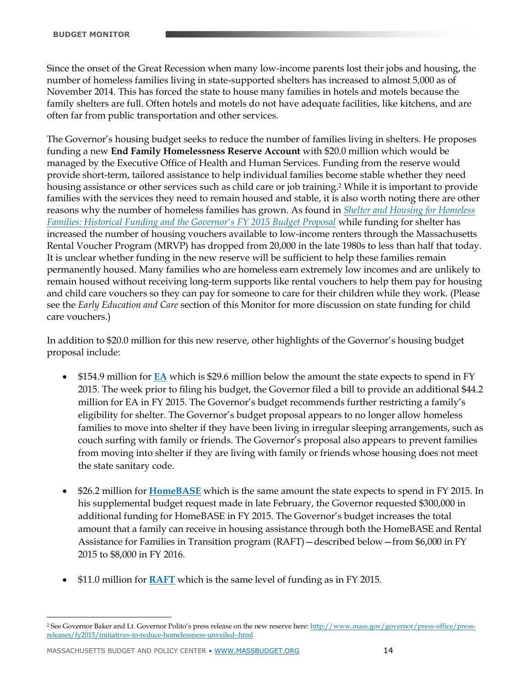Since the onset of the Great Recession when many low-income parents lost their jobs and housing, the number of homeless families living in state-supported shelters has increased to almost 5,000 as of November 2014. This has forced the state to house many families in hotels and motels because the family shelters are full. Often hotels and motels do not have adequate facilities, like kitchens, and are often far from public transportation and other services.

The Governor's housing budget seeks to reduce the number of families living in shelters. He proposes funding a new **End Family Homelessness Reserve Account** with \$20.0 million which would be managed by the Executive Office of Health and Human Services. Funding from the reserve would provide short-term, tailored assistance to help individual families become stable whether they need housing assistance or other services such as child care or job training. <sup>2</sup> While it is important to provide families with the services they need to remain housed and stable, it is also worth noting there are other reasons why the number of homeless families has grown. As found in *[Shelter and Housing for Homeless](http://massbudget.org/report_window.php?loc=Shelter%20and%20Housing%20for%20Homeless%20Families.html)  [Families: Historical Funding and the Governor's FY 2015 Budget Proposal](http://massbudget.org/report_window.php?loc=Shelter%20and%20Housing%20for%20Homeless%20Families.html) while funding for shelter has* increased the number of housing vouchers available to low-income renters through the Massachusetts Rental Voucher Program (MRVP) has dropped from 20,000 in the late 1980s to less than half that today. It is unclear whether funding in the new reserve will be sufficient to help these families remain permanently housed. Many families who are homeless earn extremely low incomes and are unlikely to remain housed without receiving long-term supports like rental vouchers to help them pay for housing and child care vouchers so they can pay for someone to care for their children while they work. (Please see the *Early Education and Care* section of this Monitor for more discussion on state funding for child care vouchers.)

In addition to \$20.0 million for this new reserve, other highlights of the Governor's housing budget proposal include:

- \$154.9 million for **[EA](http://children.massbudget.org/emergency-assistance-family-shelter-and-services)** which is \$29.6 million below the amount the state expects to spend in FY 2015. The week prior to filing his budget, the Governor filed a bill to provide an additional \$44.2 million for EA in FY 2015. The Governor's budget recommends further restricting a family's eligibility for shelter. The Governor's budget proposal appears to no longer allow homeless families to move into shelter if they have been living in irregular sleeping arrangements, such as couch surfing with family or friends. The Governor's proposal also appears to prevent families from moving into shelter if they are living with family or friends whose housing does not meet the state sanitary code.
- \$26.2 million for **[HomeBASE](http://children.massbudget.org/homebase)** which is the same amount the state expects to spend in FY 2015. In his supplemental budget request made in late February, the Governor requested \$300,000 in additional funding for HomeBASE in FY 2015. The Governor's budget increases the total amount that a family can receive in housing assistance through both the HomeBASE and Rental Assistance for Families in Transition program (RAFT)—described below—from \$6,000 in FY 2015 to \$8,000 in FY 2016.
- \$11.0 million for **[RAFT](http://children.massbudget.org/residential-assistance-families-transition-raft)** which is the same level of funding as in FY 2015.

```
WWW.MASSBUDGET.ORG 14
```
 $\overline{a}$ <sup>2</sup> See Governor Baker and Lt. Governor Polito's press release on the new reserve here: [http://www.mass.gov/governor/press-office/press](http://www.mass.gov/governor/press-office/press-releases/fy2015/initiatives-to-reduce-homelessness-unveiled-.html)[releases/fy2015/initiatives-to-reduce-homelessness-unveiled-.html](http://www.mass.gov/governor/press-office/press-releases/fy2015/initiatives-to-reduce-homelessness-unveiled-.html)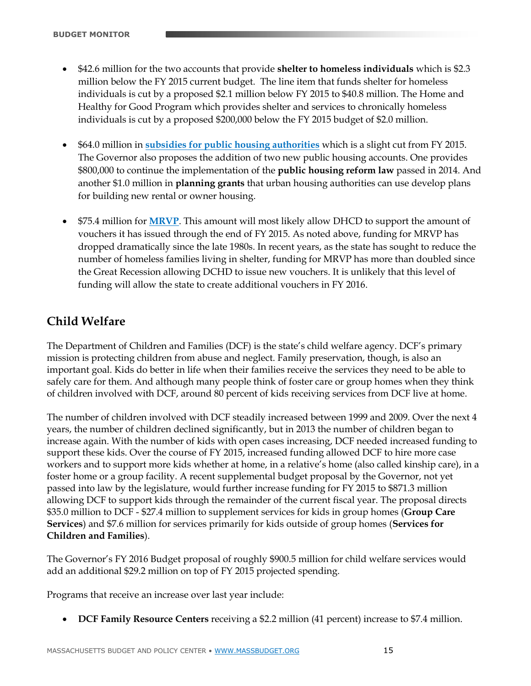- \$42.6 million for the two accounts that provide **shelter to homeless individuals** which is \$2.3 million below the FY 2015 current budget. The line item that funds shelter for homeless individuals is cut by a proposed \$2.1 million below FY 2015 to \$40.8 million. The Home and Healthy for Good Program which provides shelter and services to chronically homeless individuals is cut by a proposed \$200,000 below the FY 2015 budget of \$2.0 million.
- \$64.0 million in **[subsidies for public housing authorities](http://children.massbudget.org/subsidies-public-housing-authorities)** which is a slight cut from FY 2015. The Governor also proposes the addition of two new public housing accounts. One provides \$800,000 to continue the implementation of the **public housing reform law** passed in 2014. And another \$1.0 million in **planning grants** that urban housing authorities can use develop plans for building new rental or owner housing.
- \$75.4 million for **[MRVP](http://children.massbudget.org/massachusetts-rental-voucher-program)**. This amount will most likely allow DHCD to support the amount of vouchers it has issued through the end of FY 2015. As noted above, funding for MRVP has dropped dramatically since the late 1980s. In recent years, as the state has sought to reduce the number of homeless families living in shelter, funding for MRVP has more than doubled since the Great Recession allowing DCHD to issue new vouchers. It is unlikely that this level of funding will allow the state to create additional vouchers in FY 2016.

# **Child Welfare**

The Department of Children and Families (DCF) is the state's child welfare agency. DCF's primary mission is protecting children from abuse and neglect. Family preservation, though, is also an important goal. Kids do better in life when their families receive the services they need to be able to safely care for them. And although many people think of foster care or group homes when they think of children involved with DCF, around 80 percent of kids receiving services from DCF live at home.

The number of children involved with DCF steadily increased between 1999 and 2009. Over the next 4 years, the number of children declined significantly, but in 2013 the number of children began to increase again. With the number of kids with open cases increasing, DCF needed increased funding to support these kids. Over the course of FY 2015, increased funding allowed DCF to hire more case workers and to support more kids whether at home, in a relative's home (also called kinship care), in a foster home or a group facility. A recent supplemental budget proposal by the Governor, not yet passed into law by the legislature, would further increase funding for FY 2015 to \$871.3 million allowing DCF to support kids through the remainder of the current fiscal year. The proposal directs \$35.0 million to DCF - \$27.4 million to supplement services for kids in group homes (**Group Care Services**) and \$7.6 million for services primarily for kids outside of group homes (**Services for Children and Families**).

The Governor's FY 2016 Budget proposal of roughly \$900.5 million for child welfare services would add an additional \$29.2 million on top of FY 2015 projected spending.

Programs that receive an increase over last year include:

**DCF Family Resource Centers** receiving a \$2.2 million (41 percent) increase to \$7.4 million.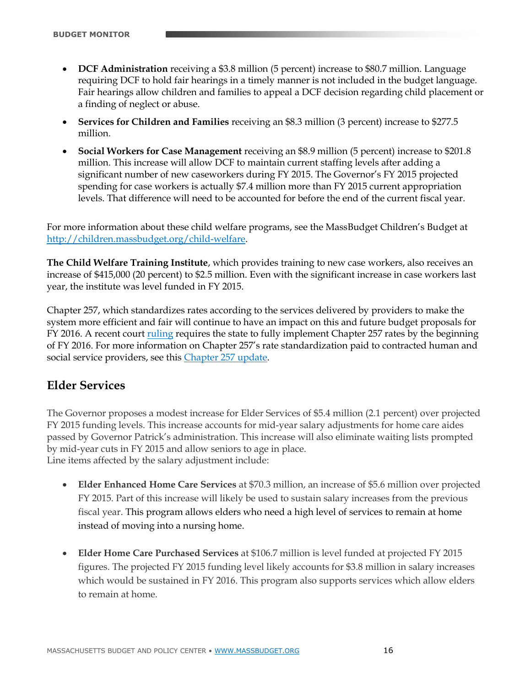- **DCF Administration** receiving a \$3.8 million (5 percent) increase to \$80.7 million. Language requiring DCF to hold fair hearings in a timely manner is not included in the budget language. Fair hearings allow children and families to appeal a DCF decision regarding child placement or a finding of neglect or abuse.
- **Services for Children and Families** receiving an \$8.3 million (3 percent) increase to \$277.5 million.
- **Social Workers for Case Management** receiving an \$8.9 million (5 percent) increase to \$201.8 million. This increase will allow DCF to maintain current staffing levels after adding a significant number of new caseworkers during FY 2015. The Governor's FY 2015 projected spending for case workers is actually \$7.4 million more than FY 2015 current appropriation levels. That difference will need to be accounted for before the end of the current fiscal year.

For more information about these child welfare programs, see the MassBudget Children's Budget at [http://children.massbudget.org/child-welfare.](http://children.massbudget.org/child-welfare)

**The Child Welfare Training Institute**, which provides training to new case workers, also receives an increase of \$415,000 (20 percent) to \$2.5 million. Even with the significant increase in case workers last year, the institute was level funded in FY 2015.

Chapter 257, which standardizes rates according to the services delivered by providers to make the system more efficient and fair will continue to have an impact on this and future budget proposals for FY 2016. A recent cour[t ruling](http://b.3cdn.net/pcouncil/04d084ec386ea9ead8_w2m6bhqh5.pdf) requires the state to fully implement Chapter 257 rates by the beginning of FY 2016. For more information on Chapter 257's rate standardization paid to contracted human and social service providers, see this [Chapter 257 update.](http://www.mass.gov/eohhs/provider/contracting/chap257/)

# **Elder Services**

The Governor proposes a modest increase for Elder Services of \$5.4 million (2.1 percent) over projected FY 2015 funding levels. This increase accounts for mid-year salary adjustments for home care aides passed by Governor Patrick's administration. This increase will also eliminate waiting lists prompted by mid-year cuts in FY 2015 and allow seniors to age in place. Line items affected by the salary adjustment include:

- **Elder Enhanced Home Care Services** at \$70.3 million, an increase of \$5.6 million over projected FY 2015. Part of this increase will likely be used to sustain salary increases from the previous fiscal year. This program allows elders who need a high level of services to remain at home instead of moving into a nursing home.
- **Elder Home Care Purchased Services** at \$106.7 million is level funded at projected FY 2015 figures. The projected FY 2015 funding level likely accounts for \$3.8 million in salary increases which would be sustained in FY 2016. This program also supports services which allow elders to remain at home.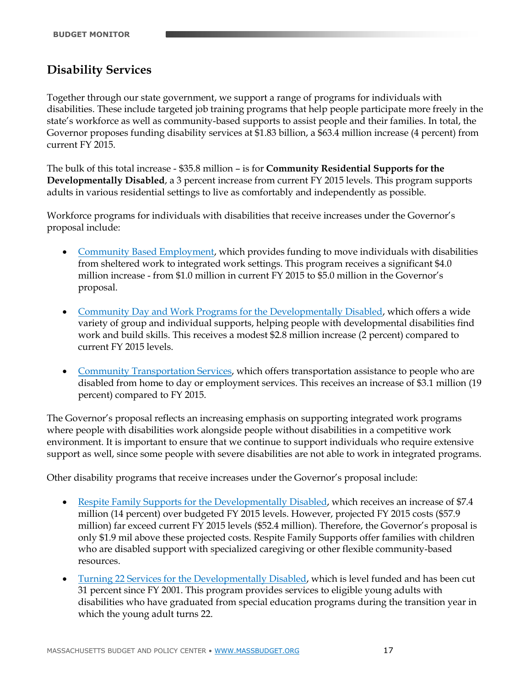# **Disability Services**

Together through our state government, we support a range of programs for individuals with disabilities. These include targeted job training programs that help people participate more freely in the state's workforce as well as community-based supports to assist people and their families. In total, the Governor proposes funding disability services at \$1.83 billion, a \$63.4 million increase (4 percent) from current FY 2015.

The bulk of this total increase - \$35.8 million – is for **Community Residential Supports for the Developmentally Disabled**, a 3 percent increase from current FY 2015 levels. This program supports adults in various residential settings to live as comfortably and independently as possible.

Workforce programs for individuals with disabilities that receive increases under the Governor's proposal include:

- [Community Based Employment,](http://www.workforce.massbudget.org/community-based-employment) which provides funding to move individuals with disabilities from sheltered work to integrated work settings. This program receives a significant \$4.0 million increase - from \$1.0 million in current FY 2015 to \$5.0 million in the Governor's proposal.
- [Community Day and Work Programs for the Developmentally Disabled,](http://www.workforce.massbudget.org/community-day-and-work-programs-developmentally-disabled) which offers a wide variety of group and individual supports, helping people with developmental disabilities find work and build skills. This receives a modest \$2.8 million increase (2 percent) compared to current FY 2015 levels.
- [Community Transportation Services,](http://massbudget.org/browser/line_item.php?id=5911200000) which offers transportation assistance to people who are disabled from home to day or employment services. This receives an increase of \$3.1 million (19 percent) compared to FY 2015.

The Governor's proposal reflects an increasing emphasis on supporting integrated work programs where people with disabilities work alongside people without disabilities in a competitive work environment. It is important to ensure that we continue to support individuals who require extensive support as well, since some people with severe disabilities are not able to work in integrated programs.

Other disability programs that receive increases under the Governor's proposal include:

- [Respite Family Supports for the Developmentally Disabled,](http://children.massbudget.org/respite-family-supports-developmentally-disabled) which receives an increase of \$7.4 million (14 percent) over budgeted FY 2015 levels. However, projected FY 2015 costs (\$57.9 million) far exceed current FY 2015 levels (\$52.4 million). Therefore, the Governor's proposal is only \$1.9 mil above these projected costs. Respite Family Supports offer families with children who are disabled support with specialized caregiving or other flexible community-based resources.
- [Turning 22 Services for the Developmentally Disabled,](http://children.massbudget.org/turning-22-dept-developmental-services) which is level funded and has been cut 31 percent since FY 2001. This program provides services to eligible young adults with disabilities who have graduated from special education programs during the transition year in which the young adult turns 22.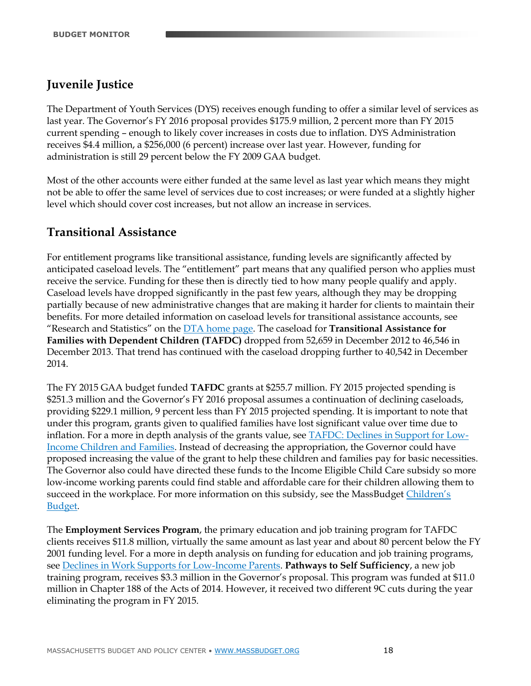# **Juvenile Justice**

The Department of Youth Services (DYS) receives enough funding to offer a similar level of services as last year. The Governor's FY 2016 proposal provides \$175.9 million, 2 percent more than FY 2015 current spending – enough to likely cover increases in costs due to inflation. DYS Administration receives \$4.4 million, a \$256,000 (6 percent) increase over last year. However, funding for administration is still 29 percent below the FY 2009 GAA budget.

Most of the other accounts were either funded at the same level as last year which means they might not be able to offer the same level of services due to cost increases; or were funded at a slightly higher level which should cover cost increases, but not allow an increase in services.

# **Transitional Assistance**

For entitlement programs like transitional assistance, funding levels are significantly affected by anticipated caseload levels. The "entitlement" part means that any qualified person who applies must receive the service. Funding for these then is directly tied to how many people qualify and apply. Caseload levels have dropped significantly in the past few years, although they may be dropping partially because of new administrative changes that are making it harder for clients to maintain their benefits. For more detailed information on caseload levels for transitional assistance accounts, see "Research and Statistics" on the [DTA home page.](http://www.mass.gov/eohhs/gov/departments/dta/) The caseload for **Transitional Assistance for Families with Dependent Children (TAFDC)** dropped from 52,659 in December 2012 to 46,546 in December 2013. That trend has continued with the caseload dropping further to 40,542 in December 2014.

The FY 2015 GAA budget funded **TAFDC** grants at \$255.7 million. FY 2015 projected spending is \$251.3 million and the Governor's FY 2016 proposal assumes a continuation of declining caseloads, providing \$229.1 million, 9 percent less than FY 2015 projected spending. It is important to note that under this program, grants given to qualified families have lost significant value over time due to inflation. For a more in depth analysis of the grants value, see [TAFDC: Declines in Support for Low-](http://www.massbudget.org/report_window.php?loc=declines_tafdc.html)[Income Children and Families.](http://www.massbudget.org/report_window.php?loc=declines_tafdc.html) Instead of decreasing the appropriation, the Governor could have proposed increasing the value of the grant to help these children and families pay for basic necessities. The Governor also could have directed these funds to the Income Eligible Child Care subsidy so more low-income working parents could find stable and affordable care for their children allowing them to succeed in the workplace. For more information on this subsidy, see the MassBudget Children's [Budget.](http://children.massbudget.org/income-eligible-child-care-child-care-access)

The **Employment Services Program**, the primary education and job training program for TAFDC clients receives \$11.8 million, virtually the same amount as last year and about 80 percent below the FY 2001 funding level. For a more in depth analysis on funding for education and job training programs, see [Declines in Work Supports for Low-Income Parents.](http://www.massbudget.org/report_window.php?loc=Declines_Work_Supports_Low-Income_Parents.html) **Pathways to Self Sufficiency**, a new job training program, receives \$3.3 million in the Governor's proposal. This program was funded at \$11.0 million in Chapter 188 of the Acts of 2014. However, it received two different 9C cuts during the year eliminating the program in FY 2015.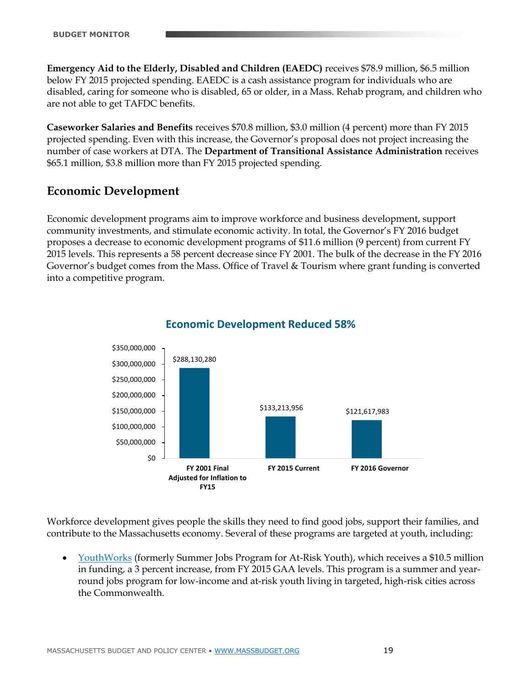**Emergency Aid to the Elderly, Disabled and Children (EAEDC)** receives \$78.9 million, \$6.5 million below FY 2015 projected spending. EAEDC is a cash assistance program for individuals who are disabled, caring for someone who is disabled, 65 or older, in a Mass. Rehab program, and children who are not able to get TAFDC benefits.

**Caseworker Salaries and Benefits** receives \$70.8 million, \$3.0 million (4 percent) more than FY 2015 projected spending. Even with this increase, the Governor's proposal does not project increasing the number of case workers at DTA. The **Department of Transitional Assistance Administration** receives \$65.1 million, \$3.8 million more than FY 2015 projected spending.

# **Economic Development**

Economic development programs aim to improve workforce and business development, support community investments, and stimulate economic activity. In total, the Governor's FY 2016 budget proposes a decrease to economic development programs of \$11.6 million (9 percent) from current FY 2015 levels. This represents a 58 percent decrease since FY 2001. The bulk of the decrease in the FY 2016 Governor's budget comes from the Mass. Office of Travel & Tourism where grant funding is converted into a competitive program.



## **Economic Development Reduced 58%**

Workforce development gives people the skills they need to find good jobs, support their families, and contribute to the Massachusetts economy. Several of these programs are targeted at youth, including:

 [YouthWorks](http://workforce.massbudget.org/youthworks) (formerly Summer Jobs Program for At-Risk Youth), which receives a \$10.5 million in funding, a 3 percent increase, from FY 2015 GAA levels. This program is a summer and yearround jobs program for low-income and at-risk youth living in targeted, high-risk cities across the Commonwealth.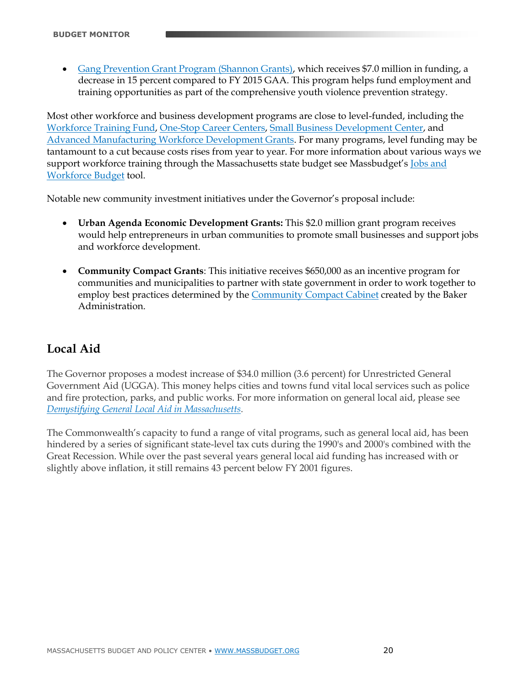[Gang Prevention Grant Program \(Shannon Grants\),](http://workforce.massbudget.org/gang-prevention-grant-program-shannon-grants) which receives \$7.0 million in funding, a decrease in 15 percent compared to FY 2015 GAA. This program helps fund employment and training opportunities as part of the comprehensive youth violence prevention strategy.

Most other workforce and business development programs are close to level-funded, including the [Workforce Training Fund,](http://www.workforce.massbudget.org/workforce-training-fund) [One-Stop Career Centers,](http://www.workforce.massbudget.org/one-stop-career-centers) [Small Business Development Center,](http://www.workforce.massbudget.org/massachusetts-small-business-development-center-umass) and [Advanced Manufacturing Workforce Development Grants.](http://www.workforce.massbudget.org/advanced-manufacturing-workforce-development-grants) For many programs, level funding may be tantamount to a cut because costs rises from year to year. For more information about various ways we support workforce training through the Massachusetts state budget see Massbudget's [Jobs and](file:///C:/Users/nrodriguez/Dropbox%20(MassBudget)/Common%20(1)/Templates/Budget%20Monitor%20Templates/workforce.massbudget.org)  [Workforce Budget](file:///C:/Users/nrodriguez/Dropbox%20(MassBudget)/Common%20(1)/Templates/Budget%20Monitor%20Templates/workforce.massbudget.org) tool.

Notable new community investment initiatives under the Governor's proposal include:

- **Urban Agenda Economic Development Grants:** This \$2.0 million grant program receives would help entrepreneurs in urban communities to promote small businesses and support jobs and workforce development.
- **Community Compact Grants**: This initiative receives \$650,000 as an incentive program for communities and municipalities to partner with state government in order to work together to employ best practices determined by the [Community Compact Cabinet](http://www.mass.gov/governor/press-office/press-releases/fy2015/exec-order-to-strengthen-municipal-partnerships-signed.html) created by the Baker Administration.

# **Local Aid**

The Governor proposes a modest increase of \$34.0 million (3.6 percent) for Unrestricted General Government Aid (UGGA). This money helps cities and towns fund vital local services such as police and fire protection, parks, and public works. For more information on general local aid, please see *[Demystifying General Local Aid in Massachusetts.](http://www.massbudget.org/report_window.php?loc=demystifying_general_local_aid.html)*

The Commonwealth's capacity to fund a range of vital programs, such as general local aid, has been hindered by a series of significant state-level tax cuts during the 1990's and 2000's combined with the Great Recession. While over the past several years general local aid funding has increased with or slightly above inflation, it still remains 43 percent below FY 2001 figures.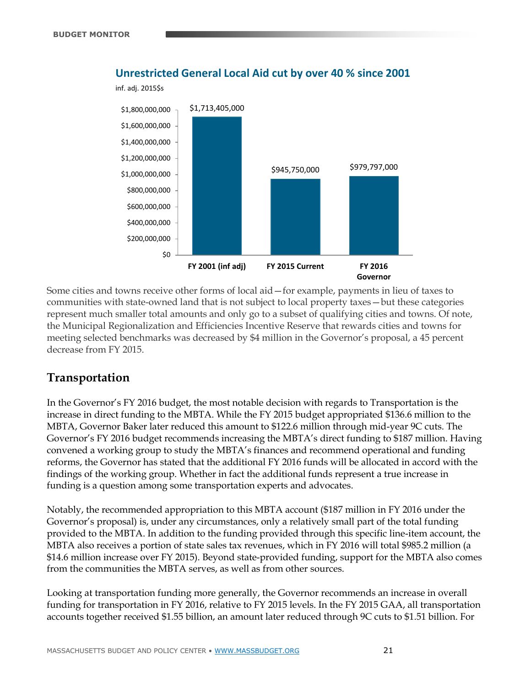inf. adj. 2015\$s



## **Unrestricted General Local Aid cut by over 40 % since 2001**

Some cities and towns receive other forms of local aid—for example, payments in lieu of taxes to communities with state-owned land that is not subject to local property taxes—but these categories represent much smaller total amounts and only go to a subset of qualifying cities and towns. Of note, the Municipal Regionalization and Efficiencies Incentive Reserve that rewards cities and towns for meeting selected benchmarks was decreased by \$4 million in the Governor's proposal, a 45 percent decrease from FY 2015.

## **Transportation**

In the Governor's FY 2016 budget, the most notable decision with regards to Transportation is the increase in direct funding to the MBTA. While the FY 2015 budget appropriated \$136.6 million to the MBTA, Governor Baker later reduced this amount to \$122.6 million through mid-year 9C cuts. The Governor's FY 2016 budget recommends increasing the MBTA's direct funding to \$187 million. Having convened a working group to study the MBTA's finances and recommend operational and funding reforms, the Governor has stated that the additional FY 2016 funds will be allocated in accord with the findings of the working group. Whether in fact the additional funds represent a true increase in funding is a question among some transportation experts and advocates.

Notably, the recommended appropriation to this MBTA account (\$187 million in FY 2016 under the Governor's proposal) is, under any circumstances, only a relatively small part of the total funding provided to the MBTA. In addition to the funding provided through this specific line-item account, the MBTA also receives a portion of state sales tax revenues, which in FY 2016 will total \$985.2 million (a \$14.6 million increase over FY 2015). Beyond state-provided funding, support for the MBTA also comes from the communities the MBTA serves, as well as from other sources.

Looking at transportation funding more generally, the Governor recommends an increase in overall funding for transportation in FY 2016, relative to FY 2015 levels. In the FY 2015 GAA, all transportation accounts together received \$1.55 billion, an amount later reduced through 9C cuts to \$1.51 billion. For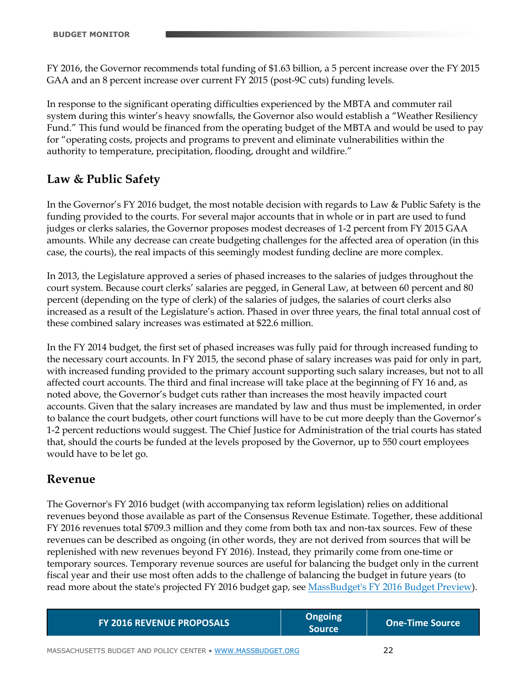FY 2016, the Governor recommends total funding of \$1.63 billion, a 5 percent increase over the FY 2015 GAA and an 8 percent increase over current FY 2015 (post-9C cuts) funding levels.

In response to the significant operating difficulties experienced by the MBTA and commuter rail system during this winter's heavy snowfalls, the Governor also would establish a "Weather Resiliency Fund." This fund would be financed from the operating budget of the MBTA and would be used to pay for "operating costs, projects and programs to prevent and eliminate vulnerabilities within the authority to temperature, precipitation, flooding, drought and wildfire."

# **Law & Public Safety**

In the Governor's FY 2016 budget, the most notable decision with regards to Law & Public Safety is the funding provided to the courts. For several major accounts that in whole or in part are used to fund judges or clerks salaries, the Governor proposes modest decreases of 1-2 percent from FY 2015 GAA amounts. While any decrease can create budgeting challenges for the affected area of operation (in this case, the courts), the real impacts of this seemingly modest funding decline are more complex.

In 2013, the Legislature approved a series of phased increases to the salaries of judges throughout the court system. Because court clerks' salaries are pegged, in General Law, at between 60 percent and 80 percent (depending on the type of clerk) of the salaries of judges, the salaries of court clerks also increased as a result of the Legislature's action. Phased in over three years, the final total annual cost of these combined salary increases was estimated at \$22.6 million.

In the FY 2014 budget, the first set of phased increases was fully paid for through increased funding to the necessary court accounts. In FY 2015, the second phase of salary increases was paid for only in part, with increased funding provided to the primary account supporting such salary increases, but not to all affected court accounts. The third and final increase will take place at the beginning of FY 16 and, as noted above, the Governor's budget cuts rather than increases the most heavily impacted court accounts. Given that the salary increases are mandated by law and thus must be implemented, in order to balance the court budgets, other court functions will have to be cut more deeply than the Governor's 1-2 percent reductions would suggest. The Chief Justice for Administration of the trial courts has stated that, should the courts be funded at the levels proposed by the Governor, up to 550 court employees would have to be let go.

## **Revenue**

The Governor's FY 2016 budget (with accompanying tax reform legislation) relies on additional revenues beyond those available as part of the Consensus Revenue Estimate. Together, these additional FY 2016 revenues total \$709.3 million and they come from both tax and non-tax sources. Few of these revenues can be described as ongoing (in other words, they are not derived from sources that will be replenished with new revenues beyond FY 2016). Instead, they primarily come from one-time or temporary sources. Temporary revenue sources are useful for balancing the budget only in the current fiscal year and their use most often adds to the challenge of balancing the budget in future years (to read more about the state's projected FY 2016 budget gap, see [MassBudget's FY 2016](http://www.massbudget.org/report_window.php?loc=FY_2016_Budget_Preview.html) Budget Preview).

| <b>FY 2016 REVENUE PROPOSALS</b> | <b>Ongoing</b><br><b>Source</b> | <b>One-Time Source</b> |
|----------------------------------|---------------------------------|------------------------|
|                                  |                                 |                        |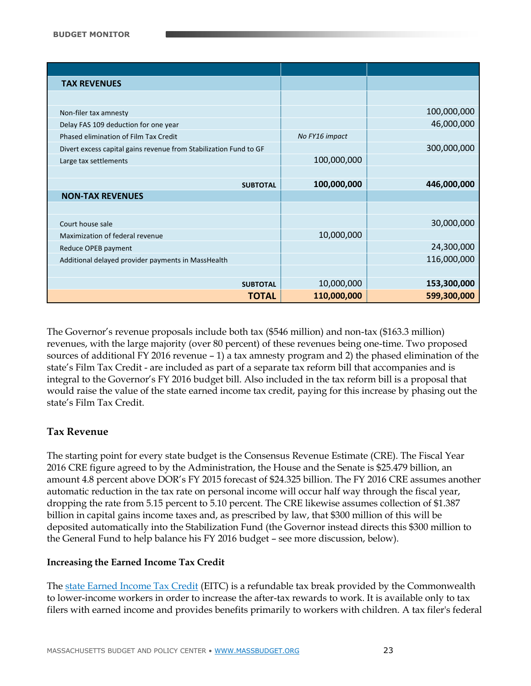| <b>TAX REVENUES</b>                                               |                |             |
|-------------------------------------------------------------------|----------------|-------------|
|                                                                   |                |             |
| Non-filer tax amnesty                                             |                | 100,000,000 |
| Delay FAS 109 deduction for one year                              |                | 46,000,000  |
| Phased elimination of Film Tax Credit                             | No FY16 impact |             |
| Divert excess capital gains revenue from Stabilization Fund to GF |                | 300,000,000 |
| Large tax settlements                                             | 100,000,000    |             |
|                                                                   |                |             |
| <b>SUBTOTAL</b>                                                   | 100,000,000    | 446,000,000 |
| <b>NON-TAX REVENUES</b>                                           |                |             |
|                                                                   |                |             |
| Court house sale                                                  |                | 30,000,000  |
| Maximization of federal revenue                                   | 10,000,000     |             |
| Reduce OPEB payment                                               |                | 24,300,000  |
| Additional delayed provider payments in MassHealth                |                | 116,000,000 |
|                                                                   |                |             |
| <b>SUBTOTAL</b>                                                   | 10,000,000     | 153,300,000 |
| <b>TOTAL</b>                                                      | 110,000,000    | 599,300,000 |

The Governor's revenue proposals include both tax (\$546 million) and non-tax (\$163.3 million) revenues, with the large majority (over 80 percent) of these revenues being one-time. Two proposed sources of additional FY 2016 revenue – 1) a tax amnesty program and 2) the phased elimination of the state's Film Tax Credit - are included as part of a separate tax reform bill that accompanies and is integral to the Governor's FY 2016 budget bill. Also included in the tax reform bill is a proposal that would raise the value of the state earned income tax credit, paying for this increase by phasing out the state's Film Tax Credit.

## **Tax Revenue**

The starting point for every state budget is the Consensus Revenue Estimate (CRE). The Fiscal Year 2016 CRE figure agreed to by the Administration, the House and the Senate is \$25.479 billion, an amount 4.8 percent above DOR's FY 2015 forecast of \$24.325 billion. The FY 2016 CRE assumes another automatic reduction in the tax rate on personal income will occur half way through the fiscal year, dropping the rate from 5.15 percent to 5.10 percent. The CRE likewise assumes collection of \$1.387 billion in capital gains income taxes and, as prescribed by law, that \$300 million of this will be deposited automatically into the Stabilization Fund (the Governor instead directs this \$300 million to the General Fund to help balance his FY 2016 budget – see more discussion, below).

### **Increasing the Earned Income Tax Credit**

The [state Earned Income Tax Credit](http://children.massbudget.org/earned-income-tax-credit?source=commonthread) (EITC) is a refundable tax break provided by the Commonwealth to lower-income workers in order to increase the after-tax rewards to work. It is available only to tax filers with earned income and provides benefits primarily to workers with children. A tax filer's federal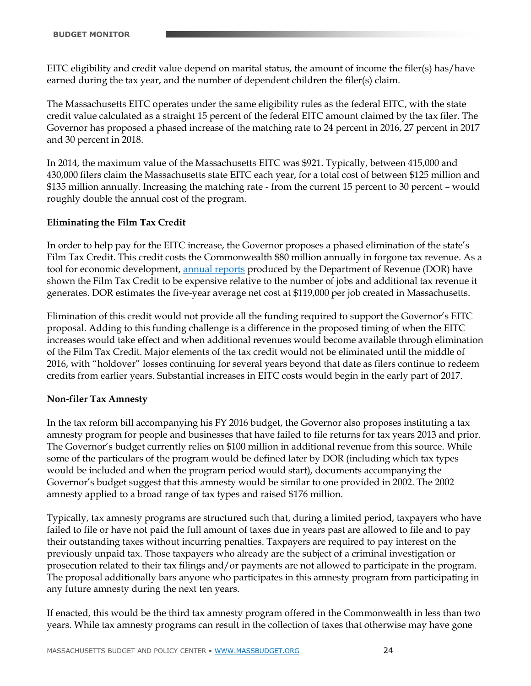EITC eligibility and credit value depend on marital status, the amount of income the filer(s) has/have earned during the tax year, and the number of dependent children the filer(s) claim.

The Massachusetts EITC operates under the same eligibility rules as the federal EITC, with the state credit value calculated as a straight 15 percent of the federal EITC amount claimed by the tax filer. The Governor has proposed a phased increase of the matching rate to 24 percent in 2016, 27 percent in 2017 and 30 percent in 2018.

In 2014, the maximum value of the Massachusetts EITC was \$921. Typically, between 415,000 and 430,000 filers claim the Massachusetts state EITC each year, for a total cost of between \$125 million and \$135 million annually. Increasing the matching rate - from the current 15 percent to 30 percent – would roughly double the annual cost of the program.

### **Eliminating the Film Tax Credit**

In order to help pay for the EITC increase, the Governor proposes a phased elimination of the state's Film Tax Credit. This credit costs the Commonwealth \$80 million annually in forgone tax revenue. As a tool for economic development, [annual reports](http://www.mass.gov/dor/tax-professionals/news-and-reports/other-reports/massachusetts-film-industry-tax-incentive-report/) produced by the Department of Revenue (DOR) have shown the Film Tax Credit to be expensive relative to the number of jobs and additional tax revenue it generates. DOR estimates the five-year average net cost at \$119,000 per job created in Massachusetts.

Elimination of this credit would not provide all the funding required to support the Governor's EITC proposal. Adding to this funding challenge is a difference in the proposed timing of when the EITC increases would take effect and when additional revenues would become available through elimination of the Film Tax Credit. Major elements of the tax credit would not be eliminated until the middle of 2016, with "holdover" losses continuing for several years beyond that date as filers continue to redeem credits from earlier years. Substantial increases in EITC costs would begin in the early part of 2017.

#### **Non-filer Tax Amnesty**

In the tax reform bill accompanying his FY 2016 budget, the Governor also proposes instituting a tax amnesty program for people and businesses that have failed to file returns for tax years 2013 and prior. The Governor's budget currently relies on \$100 million in additional revenue from this source. While some of the particulars of the program would be defined later by DOR (including which tax types would be included and when the program period would start), documents accompanying the Governor's budget suggest that this amnesty would be similar to one provided in 2002. The 2002 amnesty applied to a broad range of tax types and raised \$176 million.

Typically, tax amnesty programs are structured such that, during a limited period, taxpayers who have failed to file or have not paid the full amount of taxes due in years past are allowed to file and to pay their outstanding taxes without incurring penalties. Taxpayers are required to pay interest on the previously unpaid tax. Those taxpayers who already are the subject of a criminal investigation or prosecution related to their tax filings and/or payments are not allowed to participate in the program. The proposal additionally bars anyone who participates in this amnesty program from participating in any future amnesty during the next ten years.

If enacted, this would be the third tax amnesty program offered in the Commonwealth in less than two years. While tax amnesty programs can result in the collection of taxes that otherwise may have gone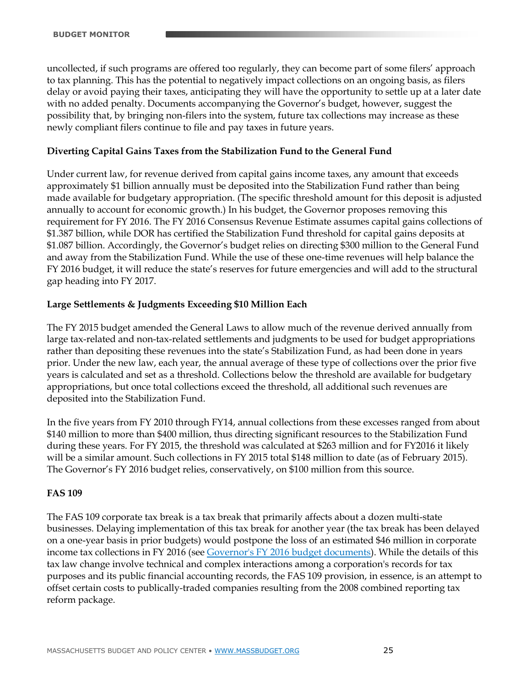uncollected, if such programs are offered too regularly, they can become part of some filers' approach to tax planning. This has the potential to negatively impact collections on an ongoing basis, as filers delay or avoid paying their taxes, anticipating they will have the opportunity to settle up at a later date with no added penalty. Documents accompanying the Governor's budget, however, suggest the possibility that, by bringing non-filers into the system, future tax collections may increase as these newly compliant filers continue to file and pay taxes in future years.

### **Diverting Capital Gains Taxes from the Stabilization Fund to the General Fund**

Under current law, for revenue derived from capital gains income taxes, any amount that exceeds approximately \$1 billion annually must be deposited into the Stabilization Fund rather than being made available for budgetary appropriation. (The specific threshold amount for this deposit is adjusted annually to account for economic growth.) In his budget, the Governor proposes removing this requirement for FY 2016. The FY 2016 Consensus Revenue Estimate assumes capital gains collections of \$1.387 billion, while DOR has certified the Stabilization Fund threshold for capital gains deposits at \$1.087 billion. Accordingly, the Governor's budget relies on directing \$300 million to the General Fund and away from the Stabilization Fund. While the use of these one-time revenues will help balance the FY 2016 budget, it will reduce the state's reserves for future emergencies and will add to the structural gap heading into FY 2017.

#### **Large Settlements & Judgments Exceeding \$10 Million Each**

The FY 2015 budget amended the General Laws to allow much of the revenue derived annually from large tax-related and non-tax-related settlements and judgments to be used for budget appropriations rather than depositing these revenues into the state's Stabilization Fund, as had been done in years prior. Under the new law, each year, the annual average of these type of collections over the prior five years is calculated and set as a threshold. Collections below the threshold are available for budgetary appropriations, but once total collections exceed the threshold, all additional such revenues are deposited into the Stabilization Fund.

In the five years from FY 2010 through FY14, annual collections from these excesses ranged from about \$140 million to more than \$400 million, thus directing significant resources to the Stabilization Fund during these years. For FY 2015, the threshold was calculated at \$263 million and for FY2016 it likely will be a similar amount. Such collections in FY 2015 total \$148 million to date (as of February 2015). The Governor's FY 2016 budget relies, conservatively, on \$100 million from this source.

#### **FAS 109**

The FAS 109 corporate tax break is a tax break that primarily affects about a dozen multi-state businesses. Delaying implementation of this tax break for another year (the tax break has been delayed on a one-year basis in prior budgets) would postpone the loss of an estimated \$46 million in corporate income tax collections in FY 2016 (se[e Governor's FY 2016 budget documents\)](http://www.mass.gov/bb/h1/fy16h1/prnt_16/bal_16/pfinstate16.htm). While the details of this tax law change involve technical and complex interactions among a corporation's records for tax purposes and its public financial accounting records, the FAS 109 provision, in essence, is an attempt to offset certain costs to publically-traded companies resulting from the 2008 combined reporting tax reform package.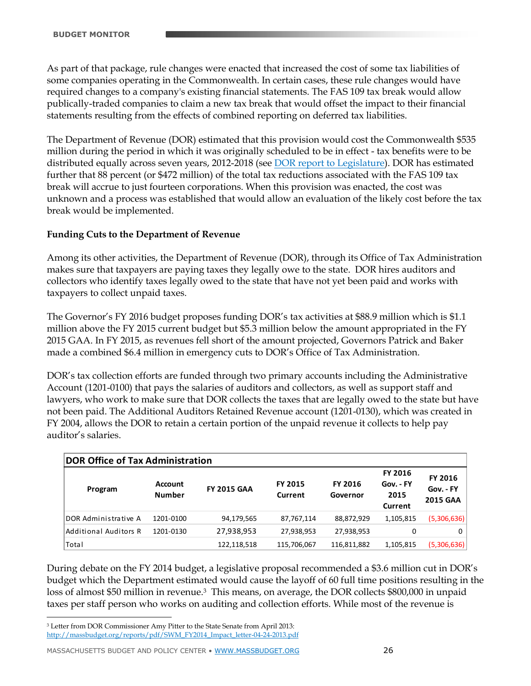As part of that package, rule changes were enacted that increased the cost of some tax liabilities of some companies operating in the Commonwealth. In certain cases, these rule changes would have required changes to a company's existing financial statements. The FAS 109 tax break would allow publically-traded companies to claim a new tax break that would offset the impact to their financial statements resulting from the effects of combined reporting on deferred tax liabilities.

The Department of Revenue (DOR) estimated that this provision would cost the Commonwealth \$535 million during the period in which it was originally scheduled to be in effect - tax benefits were to be distributed equally across seven years, 2012-2018 (see [DOR report to Legislature\)](http://www.massbudget.org/reports/pdf/DOR_FAS109Report_Sept2009.pdf). DOR has estimated further that 88 percent (or \$472 million) of the total tax reductions associated with the FAS 109 tax break will accrue to just fourteen corporations. When this provision was enacted, the cost was unknown and a process was established that would allow an evaluation of the likely cost before the tax break would be implemented.

### **Funding Cuts to the Department of Revenue**

Among its other activities, the Department of Revenue (DOR), through its Office of Tax Administration makes sure that taxpayers are paying taxes they legally owe to the state. DOR hires auditors and collectors who identify taxes legally owed to the state that have not yet been paid and works with taxpayers to collect unpaid taxes.

The Governor's FY 2016 budget proposes funding DOR's tax activities at \$88.9 million which is \$1.1 million above the FY 2015 current budget but \$5.3 million below the amount appropriated in the FY 2015 GAA. In FY 2015, as revenues fell short of the amount projected, Governors Patrick and Baker made a combined \$6.4 million in emergency cuts to DOR's Office of Tax Administration.

DOR's tax collection efforts are funded through two primary accounts including the Administrative Account (1201-0100) that pays the salaries of auditors and collectors, as well as support staff and lawyers, who work to make sure that DOR collects the taxes that are legally owed to the state but have not been paid. The Additional Auditors Retained Revenue account (1201-0130), which was created in FY 2004, allows the DOR to retain a certain portion of the unpaid revenue it collects to help pay auditor's salaries.

| <b>DOR Office of Tax Administration</b> |                          |                    |                    |                            |                                                |                                         |  |
|-----------------------------------------|--------------------------|--------------------|--------------------|----------------------------|------------------------------------------------|-----------------------------------------|--|
| Program                                 | Account<br><b>Number</b> | <b>FY 2015 GAA</b> | FY 2015<br>Current | <b>FY 2016</b><br>Governor | <b>FY 2016</b><br>Gov. - FY<br>2015<br>Current | FY 2016<br>Gov. - FY<br><b>2015 GAA</b> |  |
| DOR Administrative A                    | 1201-0100                | 94,179,565         | 87,767,114         | 88,872,929                 | 1,105,815                                      | (5,306,636)                             |  |
| Additional Auditors R                   | 1201-0130                | 27,938,953         | 27,938,953         | 27,938,953                 | 0                                              | $\Omega$                                |  |
| Total                                   |                          | 122,118,518        | 115,706,067        | 116,811,882                | 1,105,815                                      | (5,306,636)                             |  |

During debate on the FY 2014 budget, a legislative proposal recommended a \$3.6 million cut in DOR's budget which the Department estimated would cause the layoff of 60 full time positions resulting in the loss of almost \$50 million in revenue.<sup>3</sup> This means, on average, the DOR collects \$800,000 in unpaid taxes per staff person who works on auditing and collection efforts. While most of the revenue is

 $\overline{a}$ 

<sup>3</sup> Letter from DOR Commissioner Amy Pitter to the State Senate from April 2013: [http://massbudget.org/reports/pdf/SWM\\_FY2014\\_Impact\\_letter-04-24-2013.pdf](http://massbudget.org/reports/pdf/SWM_FY2014_Impact_letter-04-24-2013.pdf)

MASSACHUSETTS BUDGET AND POLICY CENTER • [WWW.MASSBUDGET.ORG](http://www.massbudget.org/) 26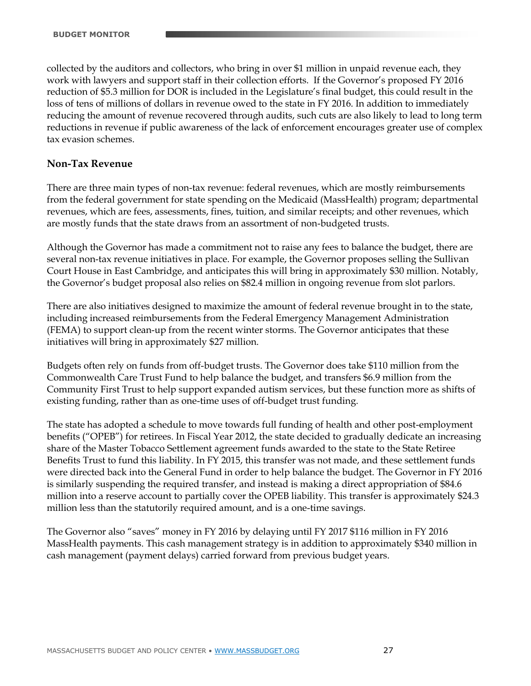collected by the auditors and collectors, who bring in over \$1 million in unpaid revenue each, they work with lawyers and support staff in their collection efforts. If the Governor's proposed FY 2016 reduction of \$5.3 million for DOR is included in the Legislature's final budget, this could result in the loss of tens of millions of dollars in revenue owed to the state in FY 2016. In addition to immediately reducing the amount of revenue recovered through audits, such cuts are also likely to lead to long term reductions in revenue if public awareness of the lack of enforcement encourages greater use of complex tax evasion schemes.

### **Non-Tax Revenue**

There are three main types of non-tax revenue: federal revenues, which are mostly reimbursements from the federal government for state spending on the Medicaid (MassHealth) program; departmental revenues, which are fees, assessments, fines, tuition, and similar receipts; and other revenues, which are mostly funds that the state draws from an assortment of non-budgeted trusts.

Although the Governor has made a commitment not to raise any fees to balance the budget, there are several non-tax revenue initiatives in place. For example, the Governor proposes selling the Sullivan Court House in East Cambridge, and anticipates this will bring in approximately \$30 million. Notably, the Governor's budget proposal also relies on \$82.4 million in ongoing revenue from slot parlors.

There are also initiatives designed to maximize the amount of federal revenue brought in to the state, including increased reimbursements from the Federal Emergency Management Administration (FEMA) to support clean-up from the recent winter storms. The Governor anticipates that these initiatives will bring in approximately \$27 million.

Budgets often rely on funds from off-budget trusts. The Governor does take \$110 million from the Commonwealth Care Trust Fund to help balance the budget, and transfers \$6.9 million from the Community First Trust to help support expanded autism services, but these function more as shifts of existing funding, rather than as one-time uses of off-budget trust funding.

The state has adopted a schedule to move towards full funding of health and other post-employment benefits ("OPEB") for retirees. In Fiscal Year 2012, the state decided to gradually dedicate an increasing share of the Master Tobacco Settlement agreement funds awarded to the state to the State Retiree Benefits Trust to fund this liability. In FY 2015, this transfer was not made, and these settlement funds were directed back into the General Fund in order to help balance the budget. The Governor in FY 2016 is similarly suspending the required transfer, and instead is making a direct appropriation of \$84.6 million into a reserve account to partially cover the OPEB liability. This transfer is approximately \$24.3 million less than the statutorily required amount, and is a one-time savings.

The Governor also "saves" money in FY 2016 by delaying until FY 2017 \$116 million in FY 2016 MassHealth payments. This cash management strategy is in addition to approximately \$340 million in cash management (payment delays) carried forward from previous budget years.